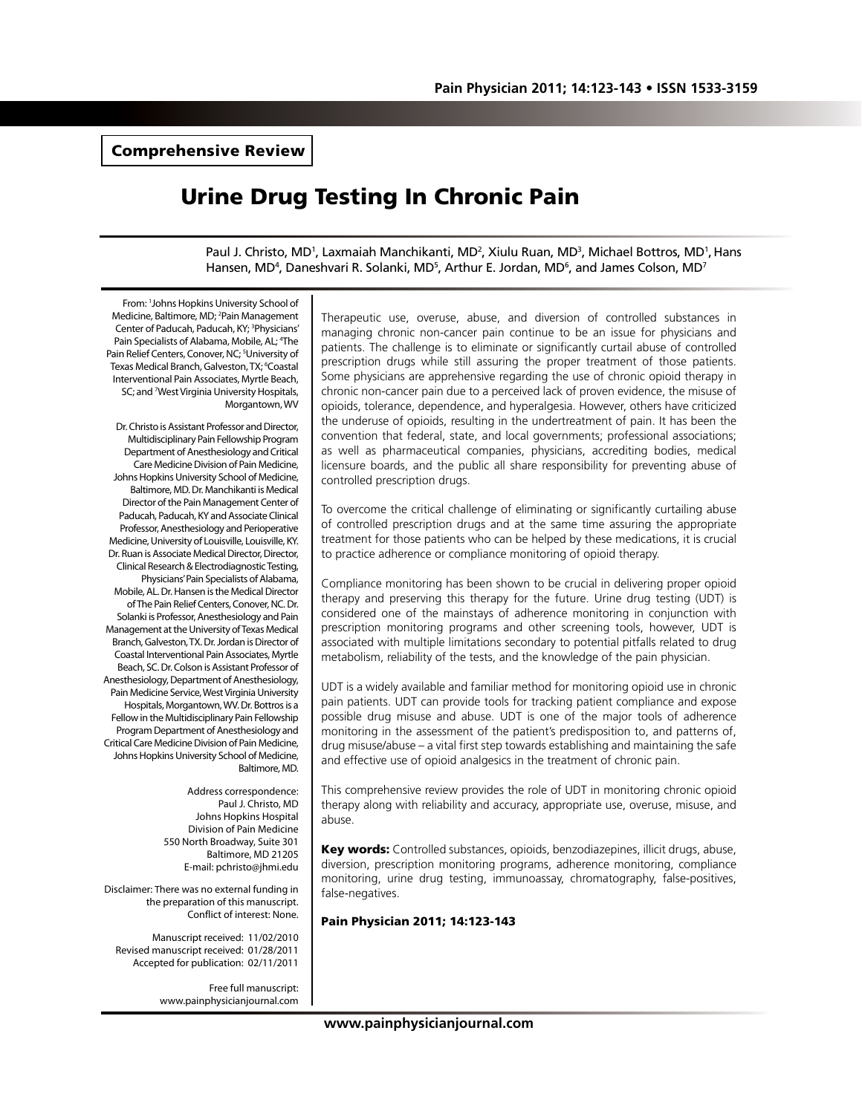Comprehensive Review

# Urine Drug Testing In Chronic Pain

Paul J. Christo, MD<sup>1</sup>, Laxmaiah Manchikanti, MD<sup>2</sup>, Xiulu Ruan, MD<sup>3</sup>, Michael Bottros, MD<sup>1</sup>, Hans Hansen, MD<sup>4</sup>, Daneshvari R. Solanki, MD<sup>5</sup>, Arthur E. Jordan, MD<sup>6</sup>, and James Colson, MD<sup>7</sup>

From: 1 Johns Hopkins University School of Medicine, Baltimore, MD; <sup>2</sup>Pain Management Center of Paducah, Paducah, KY; <sup>3</sup>Physicians' Pain Specialists of Alabama, Mobile, AL; <sup>4</sup>The Pain Relief Centers, Conover, NC; <sup>5</sup>University of Texas Medical Branch, Galveston, TX; <sup>6</sup>Coastal Interventional Pain Associates, Myrtle Beach, SC; and <sup>7</sup>West Virginia University Hospitals, Morgantown, WV

Dr. Christo is Assistant Professor and Director, Multidisciplinary Pain Fellowship Program Department of Anesthesiology and Critical Care Medicine Division of Pain Medicine, Johns Hopkins University School of Medicine, Baltimore, MD. Dr. Manchikanti is Medical Director of the Pain Management Center of Paducah, Paducah, KY and Associate Clinical Professor, Anesthesiology and Perioperative Medicine, University of Louisville, Louisville, KY. Dr. Ruan is Associate Medical Director, Director, Clinical Research & Electrodiagnostic Testing, Physicians' Pain Specialists of Alabama, Mobile, AL. Dr. Hansen is the Medical Director of The Pain Relief Centers, Conover, NC. Dr. Solanki is Professor, Anesthesiology and Pain Management at the University of Texas Medical Branch, Galveston, TX. Dr. Jordan is Director of Coastal Interventional Pain Associates, Myrtle Beach, SC. Dr. Colson is Assistant Professor of Anesthesiology, Department of Anesthesiology, Pain Medicine Service, West Virginia University Hospitals, Morgantown, WV. Dr. Bottros is a Fellow in the Multidisciplinary Pain Fellowship Program Department of Anesthesiology and Critical Care Medicine Division of Pain Medicine, Johns Hopkins University School of Medicine, Baltimore, MD.

> Address correspondence: Paul J. Christo, MD Johns Hopkins Hospital Division of Pain Medicine 550 North Broadway, Suite 301 Baltimore, MD 21205 E-mail: pchristo@jhmi.edu

Disclaimer: There was no external funding in the preparation of this manuscript. Conflict of interest: None.

Manuscript received: 11/02/2010 Revised manuscript received: 01/28/2011 Accepted for publication: 02/11/2011

> Free full manuscript: www.painphysicianjournal.com

Therapeutic use, overuse, abuse, and diversion of controlled substances in managing chronic non-cancer pain continue to be an issue for physicians and patients. The challenge is to eliminate or significantly curtail abuse of controlled prescription drugs while still assuring the proper treatment of those patients. Some physicians are apprehensive regarding the use of chronic opioid therapy in chronic non-cancer pain due to a perceived lack of proven evidence, the misuse of opioids, tolerance, dependence, and hyperalgesia. However, others have criticized the underuse of opioids, resulting in the undertreatment of pain. It has been the convention that federal, state, and local governments; professional associations; as well as pharmaceutical companies, physicians, accrediting bodies, medical licensure boards, and the public all share responsibility for preventing abuse of controlled prescription drugs.

To overcome the critical challenge of eliminating or significantly curtailing abuse of controlled prescription drugs and at the same time assuring the appropriate treatment for those patients who can be helped by these medications, it is crucial to practice adherence or compliance monitoring of opioid therapy.

Compliance monitoring has been shown to be crucial in delivering proper opioid therapy and preserving this therapy for the future. Urine drug testing (UDT) is considered one of the mainstays of adherence monitoring in conjunction with prescription monitoring programs and other screening tools, however, UDT is associated with multiple limitations secondary to potential pitfalls related to drug metabolism, reliability of the tests, and the knowledge of the pain physician.

UDT is a widely available and familiar method for monitoring opioid use in chronic pain patients. UDT can provide tools for tracking patient compliance and expose possible drug misuse and abuse. UDT is one of the major tools of adherence monitoring in the assessment of the patient's predisposition to, and patterns of, drug misuse/abuse – a vital first step towards establishing and maintaining the safe and effective use of opioid analgesics in the treatment of chronic pain.

This comprehensive review provides the role of UDT in monitoring chronic opioid therapy along with reliability and accuracy, appropriate use, overuse, misuse, and abuse.

Key words: Controlled substances, opioids, benzodiazepines, illicit drugs, abuse, diversion, prescription monitoring programs, adherence monitoring, compliance monitoring, urine drug testing, immunoassay, chromatography, false-positives, false-negatives.

#### Pain Physician 2011; 14:123-143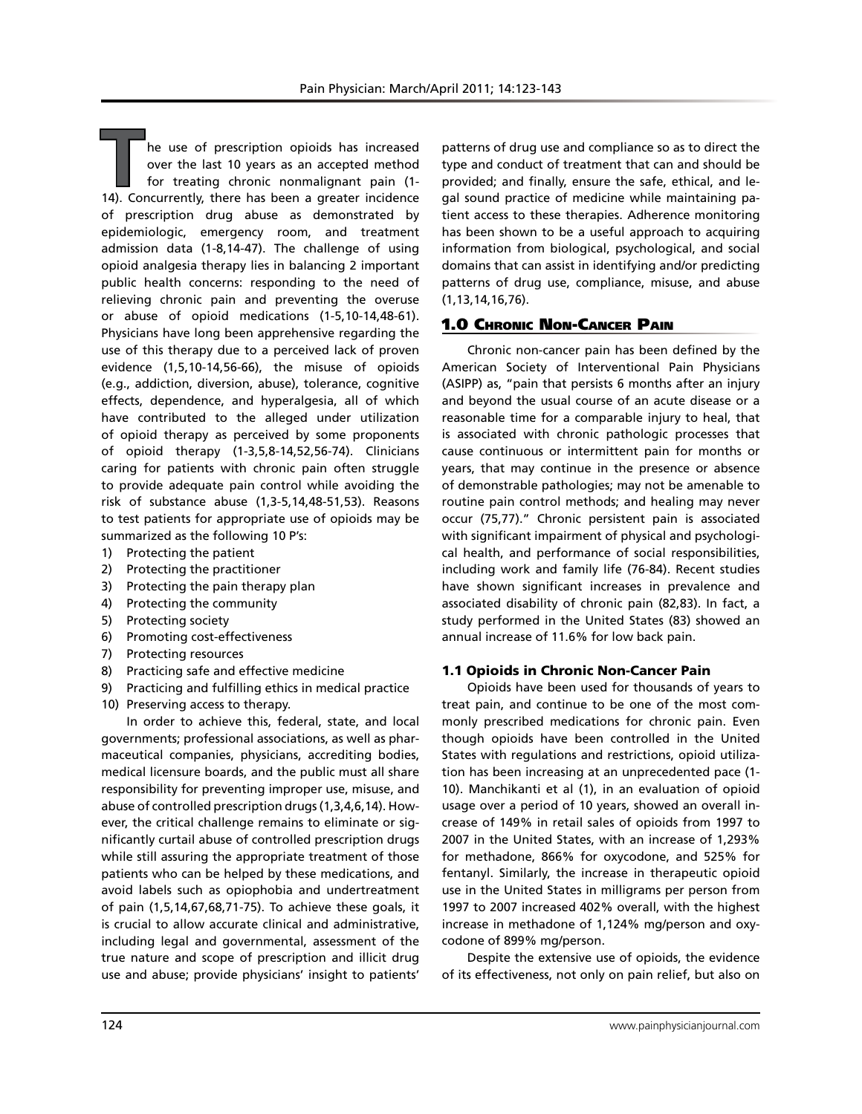**T**he use of prescription opioids has increased over the last 10 years as an accepted method for treating chronic nonmalignant pain (1- 14). Concurrently, there has been a greater incidence of prescription drug abuse as demonstrated by epidemiologic, emergency room, and treatment admission data (1-8,14-47). The challenge of using opioid analgesia therapy lies in balancing 2 important public health concerns: responding to the need of relieving chronic pain and preventing the overuse or abuse of opioid medications (1-5,10-14,48-61). Physicians have long been apprehensive regarding the use of this therapy due to a perceived lack of proven evidence (1,5,10-14,56-66), the misuse of opioids (e.g., addiction, diversion, abuse), tolerance, cognitive effects, dependence, and hyperalgesia, all of which have contributed to the alleged under utilization of opioid therapy as perceived by some proponents of opioid therapy (1-3,5,8-14,52,56-74). Clinicians caring for patients with chronic pain often struggle to provide adequate pain control while avoiding the risk of substance abuse (1,3-5,14,48-51,53). Reasons to test patients for appropriate use of opioids may be summarized as the following 10 P's:

- 1) Protecting the patient
- 2) Protecting the practitioner
- 3) Protecting the pain therapy plan
- 4) Protecting the community
- 5) Protecting society
- 6) Promoting cost-effectiveness
- 7) Protecting resources
- 8) Practicing safe and effective medicine
- 9) Practicing and fulfilling ethics in medical practice
- 10) Preserving access to therapy.

In order to achieve this, federal, state, and local governments; professional associations, as well as pharmaceutical companies, physicians, accrediting bodies, medical licensure boards, and the public must all share responsibility for preventing improper use, misuse, and abuse of controlled prescription drugs (1,3,4,6,14). However, the critical challenge remains to eliminate or significantly curtail abuse of controlled prescription drugs while still assuring the appropriate treatment of those patients who can be helped by these medications, and avoid labels such as opiophobia and undertreatment of pain (1,5,14,67,68,71-75). To achieve these goals, it is crucial to allow accurate clinical and administrative, including legal and governmental, assessment of the true nature and scope of prescription and illicit drug use and abuse; provide physicians' insight to patients'

patterns of drug use and compliance so as to direct the type and conduct of treatment that can and should be provided; and finally, ensure the safe, ethical, and legal sound practice of medicine while maintaining patient access to these therapies. Adherence monitoring has been shown to be a useful approach to acquiring information from biological, psychological, and social domains that can assist in identifying and/or predicting patterns of drug use, compliance, misuse, and abuse (1,13,14,16,76).

## 1.0 Chronic Non-Cancer Pain

Chronic non-cancer pain has been defined by the American Society of Interventional Pain Physicians (ASIPP) as, "pain that persists 6 months after an injury and beyond the usual course of an acute disease or a reasonable time for a comparable injury to heal, that is associated with chronic pathologic processes that cause continuous or intermittent pain for months or years, that may continue in the presence or absence of demonstrable pathologies; may not be amenable to routine pain control methods; and healing may never occur (75,77)." Chronic persistent pain is associated with significant impairment of physical and psychological health, and performance of social responsibilities, including work and family life (76-84). Recent studies have shown significant increases in prevalence and associated disability of chronic pain (82,83). In fact, a study performed in the United States (83) showed an annual increase of 11.6% for low back pain.

#### 1.1 Opioids in Chronic Non-Cancer Pain

Opioids have been used for thousands of years to treat pain, and continue to be one of the most commonly prescribed medications for chronic pain. Even though opioids have been controlled in the United States with regulations and restrictions, opioid utilization has been increasing at an unprecedented pace (1- 10). Manchikanti et al (1), in an evaluation of opioid usage over a period of 10 years, showed an overall increase of 149% in retail sales of opioids from 1997 to 2007 in the United States, with an increase of 1,293% for methadone, 866% for oxycodone, and 525% for fentanyl. Similarly, the increase in therapeutic opioid use in the United States in milligrams per person from 1997 to 2007 increased 402% overall, with the highest increase in methadone of 1,124% mg/person and oxycodone of 899% mg/person.

Despite the extensive use of opioids, the evidence of its effectiveness, not only on pain relief, but also on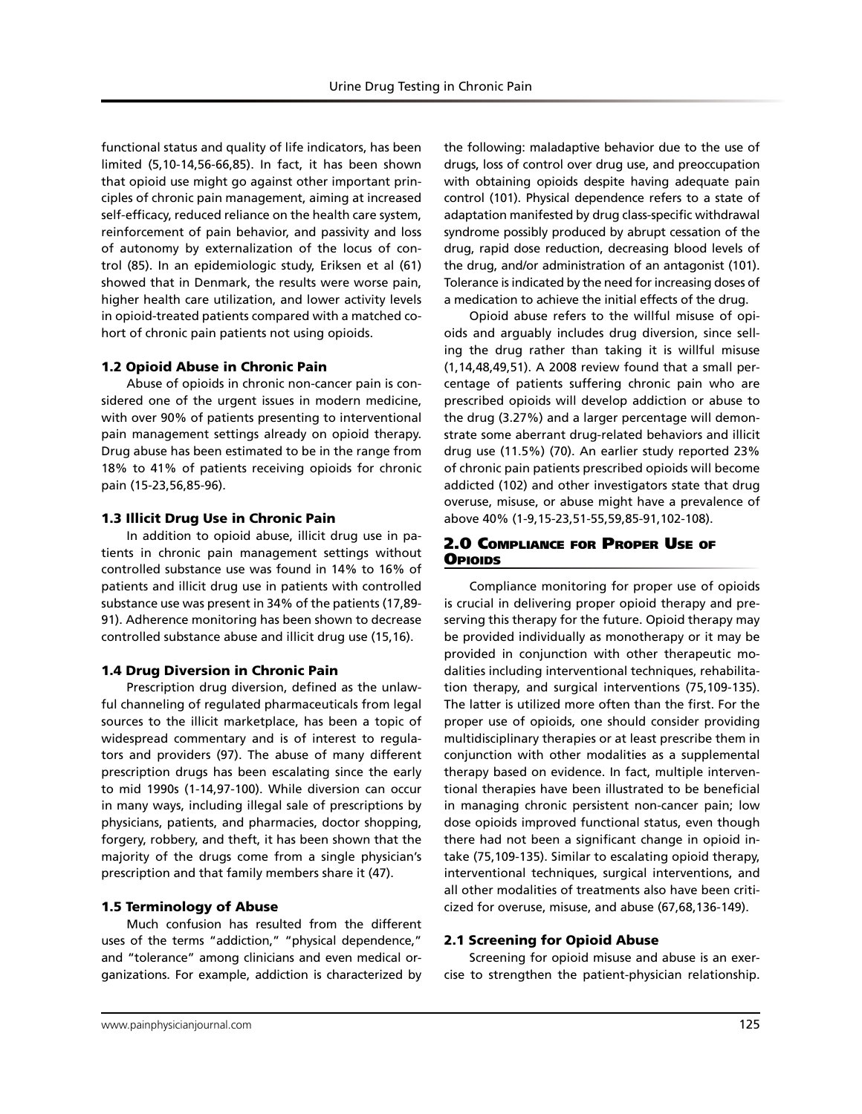functional status and quality of life indicators, has been limited (5,10-14,56-66,85). In fact, it has been shown that opioid use might go against other important principles of chronic pain management, aiming at increased self-efficacy, reduced reliance on the health care system, reinforcement of pain behavior, and passivity and loss of autonomy by externalization of the locus of control (85). In an epidemiologic study, Eriksen et al (61) showed that in Denmark, the results were worse pain, higher health care utilization, and lower activity levels in opioid-treated patients compared with a matched cohort of chronic pain patients not using opioids.

## 1.2 Opioid Abuse in Chronic Pain

Abuse of opioids in chronic non-cancer pain is considered one of the urgent issues in modern medicine, with over 90% of patients presenting to interventional pain management settings already on opioid therapy. Drug abuse has been estimated to be in the range from 18% to 41% of patients receiving opioids for chronic pain (15-23,56,85-96).

#### 1.3 Illicit Drug Use in Chronic Pain

In addition to opioid abuse, illicit drug use in patients in chronic pain management settings without controlled substance use was found in 14% to 16% of patients and illicit drug use in patients with controlled substance use was present in 34% of the patients (17,89- 91). Adherence monitoring has been shown to decrease controlled substance abuse and illicit drug use (15,16).

#### 1.4 Drug Diversion in Chronic Pain

Prescription drug diversion, defined as the unlawful channeling of regulated pharmaceuticals from legal sources to the illicit marketplace, has been a topic of widespread commentary and is of interest to regulators and providers (97). The abuse of many different prescription drugs has been escalating since the early to mid 1990s (1-14,97-100). While diversion can occur in many ways, including illegal sale of prescriptions by physicians, patients, and pharmacies, doctor shopping, forgery, robbery, and theft, it has been shown that the majority of the drugs come from a single physician's prescription and that family members share it (47).

#### 1.5 Terminology of Abuse

Much confusion has resulted from the different uses of the terms "addiction," "physical dependence," and "tolerance" among clinicians and even medical organizations. For example, addiction is characterized by

the following: maladaptive behavior due to the use of drugs, loss of control over drug use, and preoccupation with obtaining opioids despite having adequate pain control (101). Physical dependence refers to a state of adaptation manifested by drug class-specific withdrawal syndrome possibly produced by abrupt cessation of the drug, rapid dose reduction, decreasing blood levels of the drug, and/or administration of an antagonist (101). Tolerance is indicated by the need for increasing doses of a medication to achieve the initial effects of the drug.

Opioid abuse refers to the willful misuse of opioids and arguably includes drug diversion, since selling the drug rather than taking it is willful misuse (1,14,48,49,51). A 2008 review found that a small percentage of patients suffering chronic pain who are prescribed opioids will develop addiction or abuse to the drug (3.27%) and a larger percentage will demonstrate some aberrant drug-related behaviors and illicit drug use (11.5%) (70). An earlier study reported 23% of chronic pain patients prescribed opioids will become addicted (102) and other investigators state that drug overuse, misuse, or abuse might have a prevalence of above 40% (1-9,15-23,51-55,59,85-91,102-108).

## 2.0 Compliance for Proper Use of **O**PIOIDS

Compliance monitoring for proper use of opioids is crucial in delivering proper opioid therapy and preserving this therapy for the future. Opioid therapy may be provided individually as monotherapy or it may be provided in conjunction with other therapeutic modalities including interventional techniques, rehabilitation therapy, and surgical interventions (75,109-135). The latter is utilized more often than the first. For the proper use of opioids, one should consider providing multidisciplinary therapies or at least prescribe them in conjunction with other modalities as a supplemental therapy based on evidence. In fact, multiple interventional therapies have been illustrated to be beneficial in managing chronic persistent non-cancer pain; low dose opioids improved functional status, even though there had not been a significant change in opioid intake (75,109-135). Similar to escalating opioid therapy, interventional techniques, surgical interventions, and all other modalities of treatments also have been criticized for overuse, misuse, and abuse (67,68,136-149).

## 2.1 Screening for Opioid Abuse

Screening for opioid misuse and abuse is an exercise to strengthen the patient-physician relationship.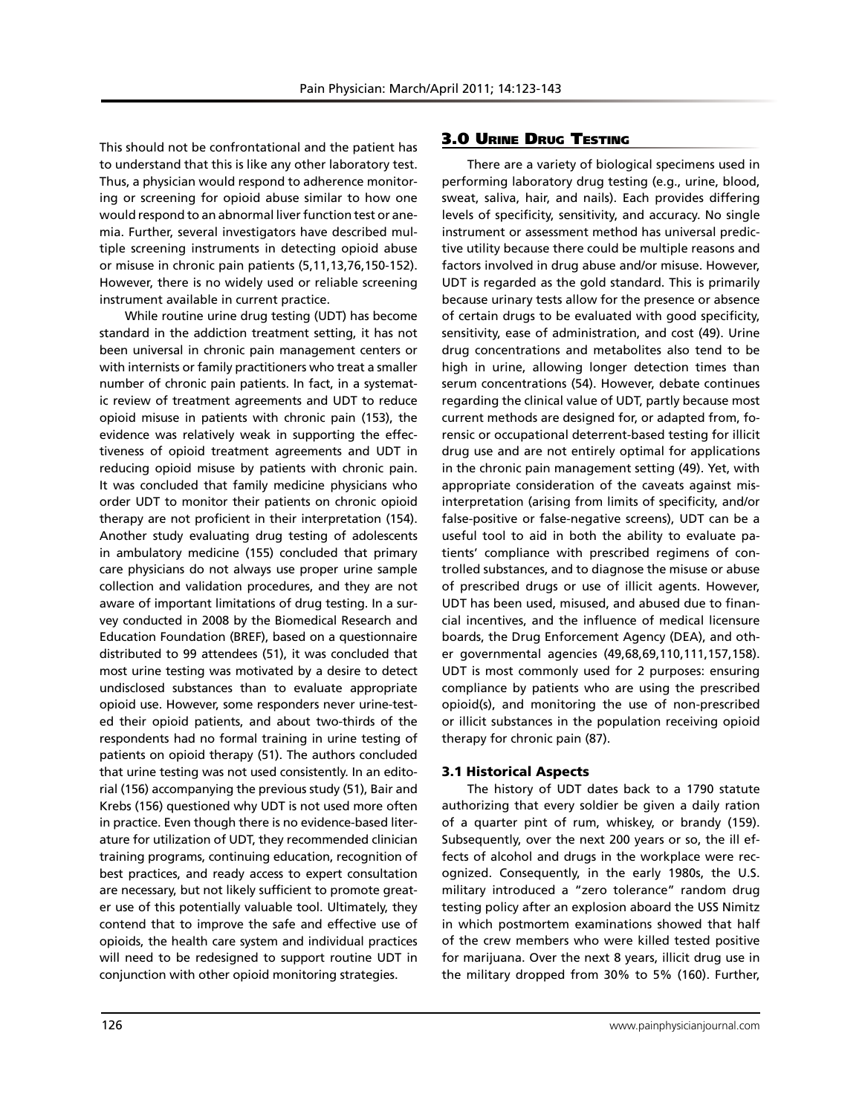This should not be confrontational and the patient has to understand that this is like any other laboratory test. Thus, a physician would respond to adherence monitoring or screening for opioid abuse similar to how one would respond to an abnormal liver function test or anemia. Further, several investigators have described multiple screening instruments in detecting opioid abuse or misuse in chronic pain patients (5,11,13,76,150-152). However, there is no widely used or reliable screening instrument available in current practice.

While routine urine drug testing (UDT) has become standard in the addiction treatment setting, it has not been universal in chronic pain management centers or with internists or family practitioners who treat a smaller number of chronic pain patients. In fact, in a systematic review of treatment agreements and UDT to reduce opioid misuse in patients with chronic pain (153), the evidence was relatively weak in supporting the effectiveness of opioid treatment agreements and UDT in reducing opioid misuse by patients with chronic pain. It was concluded that family medicine physicians who order UDT to monitor their patients on chronic opioid therapy are not proficient in their interpretation (154). Another study evaluating drug testing of adolescents in ambulatory medicine (155) concluded that primary care physicians do not always use proper urine sample collection and validation procedures, and they are not aware of important limitations of drug testing. In a survey conducted in 2008 by the Biomedical Research and Education Foundation (BREF), based on a questionnaire distributed to 99 attendees (51), it was concluded that most urine testing was motivated by a desire to detect undisclosed substances than to evaluate appropriate opioid use. However, some responders never urine-tested their opioid patients, and about two-thirds of the respondents had no formal training in urine testing of patients on opioid therapy (51). The authors concluded that urine testing was not used consistently. In an editorial (156) accompanying the previous study (51), Bair and Krebs (156) questioned why UDT is not used more often in practice. Even though there is no evidence-based literature for utilization of UDT, they recommended clinician training programs, continuing education, recognition of best practices, and ready access to expert consultation are necessary, but not likely sufficient to promote greater use of this potentially valuable tool. Ultimately, they contend that to improve the safe and effective use of opioids, the health care system and individual practices will need to be redesigned to support routine UDT in conjunction with other opioid monitoring strategies.

## 3.0 Urine Drug Testing

There are a variety of biological specimens used in performing laboratory drug testing (e.g., urine, blood, sweat, saliva, hair, and nails). Each provides differing levels of specificity, sensitivity, and accuracy. No single instrument or assessment method has universal predictive utility because there could be multiple reasons and factors involved in drug abuse and/or misuse. However, UDT is regarded as the gold standard. This is primarily because urinary tests allow for the presence or absence of certain drugs to be evaluated with good specificity, sensitivity, ease of administration, and cost (49). Urine drug concentrations and metabolites also tend to be high in urine, allowing longer detection times than serum concentrations (54). However, debate continues regarding the clinical value of UDT, partly because most current methods are designed for, or adapted from, forensic or occupational deterrent-based testing for illicit drug use and are not entirely optimal for applications in the chronic pain management setting (49). Yet, with appropriate consideration of the caveats against misinterpretation (arising from limits of specificity, and/or false-positive or false-negative screens), UDT can be a useful tool to aid in both the ability to evaluate patients' compliance with prescribed regimens of controlled substances, and to diagnose the misuse or abuse of prescribed drugs or use of illicit agents. However, UDT has been used, misused, and abused due to financial incentives, and the influence of medical licensure boards, the Drug Enforcement Agency (DEA), and other governmental agencies (49,68,69,110,111,157,158). UDT is most commonly used for 2 purposes: ensuring compliance by patients who are using the prescribed opioid(s), and monitoring the use of non-prescribed or illicit substances in the population receiving opioid therapy for chronic pain (87).

#### 3.1 Historical Aspects

The history of UDT dates back to a 1790 statute authorizing that every soldier be given a daily ration of a quarter pint of rum, whiskey, or brandy (159). Subsequently, over the next 200 years or so, the ill effects of alcohol and drugs in the workplace were recognized. Consequently, in the early 1980s, the U.S. military introduced a "zero tolerance" random drug testing policy after an explosion aboard the USS Nimitz in which postmortem examinations showed that half of the crew members who were killed tested positive for marijuana. Over the next 8 years, illicit drug use in the military dropped from 30% to 5% (160). Further,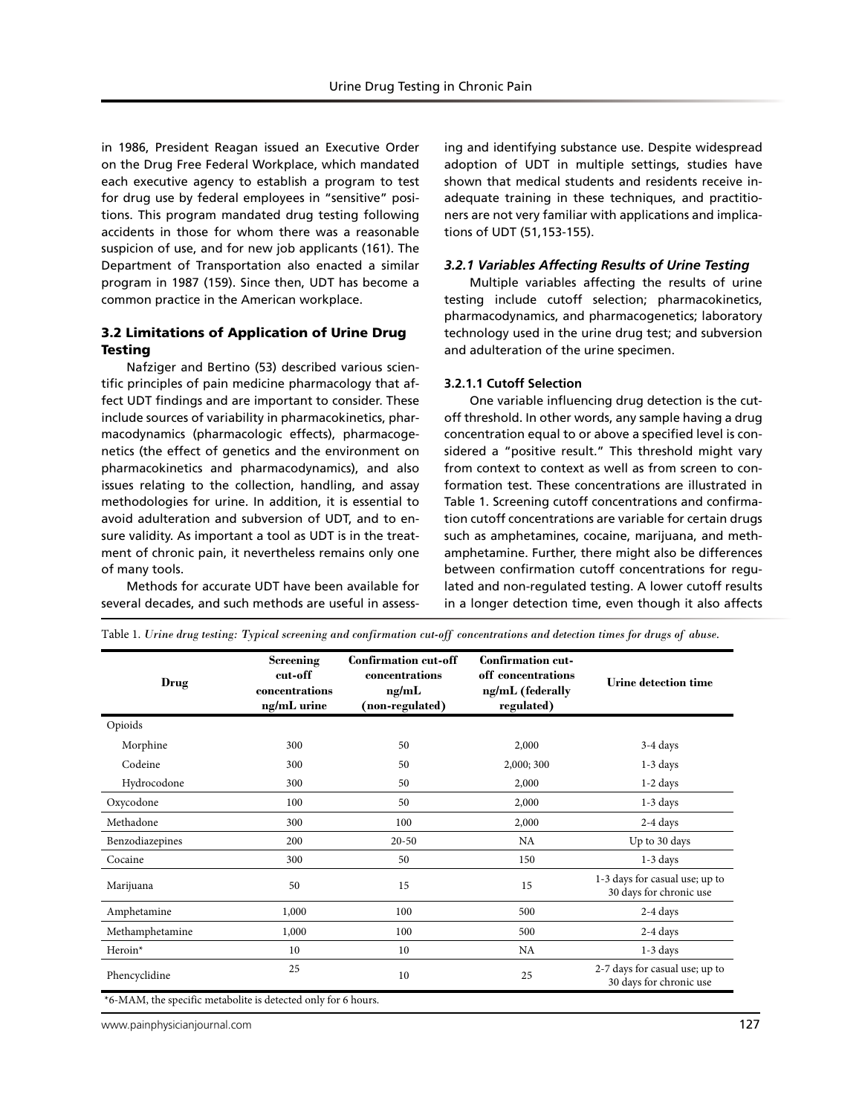in 1986, President Reagan issued an Executive Order on the Drug Free Federal Workplace, which mandated each executive agency to establish a program to test for drug use by federal employees in "sensitive" positions. This program mandated drug testing following accidents in those for whom there was a reasonable suspicion of use, and for new job applicants (161). The Department of Transportation also enacted a similar program in 1987 (159). Since then, UDT has become a common practice in the American workplace.

## 3.2 Limitations of Application of Urine Drug **Testing**

Nafziger and Bertino (53) described various scientific principles of pain medicine pharmacology that affect UDT findings and are important to consider. These include sources of variability in pharmacokinetics, pharmacodynamics (pharmacologic effects), pharmacogenetics (the effect of genetics and the environment on pharmacokinetics and pharmacodynamics), and also issues relating to the collection, handling, and assay methodologies for urine. In addition, it is essential to avoid adulteration and subversion of UDT, and to ensure validity. As important a tool as UDT is in the treatment of chronic pain, it nevertheless remains only one of many tools.

Methods for accurate UDT have been available for several decades, and such methods are useful in assess-

ing and identifying substance use. Despite widespread adoption of UDT in multiple settings, studies have shown that medical students and residents receive inadequate training in these techniques, and practitioners are not very familiar with applications and implications of UDT (51,153-155).

#### *3.2.1 Variables Affecting Results of Urine Testing*

Multiple variables affecting the results of urine testing include cutoff selection; pharmacokinetics, pharmacodynamics, and pharmacogenetics; laboratory technology used in the urine drug test; and subversion and adulteration of the urine specimen.

#### **3.2.1.1 Cutoff Selection**

One variable influencing drug detection is the cutoff threshold. In other words, any sample having a drug concentration equal to or above a specified level is considered a "positive result." This threshold might vary from context to context as well as from screen to conformation test. These concentrations are illustrated in Table 1. Screening cutoff concentrations and confirmation cutoff concentrations are variable for certain drugs such as amphetamines, cocaine, marijuana, and methamphetamine. Further, there might also be differences between confirmation cutoff concentrations for regulated and non-regulated testing. A lower cutoff results in a longer detection time, even though it also affects

| Drug                | Screening<br>cut-off<br>concentrations<br>ng/mL urine | <b>Confirmation cut-off</b><br>concentrations<br>ng/mL<br>(non-regulated) | <b>Confirmation cut-</b><br>off concentrations<br>ng/mL (federally<br>regulated) | Urine detection time                                      |  |
|---------------------|-------------------------------------------------------|---------------------------------------------------------------------------|----------------------------------------------------------------------------------|-----------------------------------------------------------|--|
| Opioids             |                                                       |                                                                           |                                                                                  |                                                           |  |
| Morphine            | 300                                                   | 50                                                                        | 2,000                                                                            |                                                           |  |
| Codeine             | 300                                                   | 2,000; 300<br>50                                                          |                                                                                  | $1-3$ days                                                |  |
| Hydrocodone         | 300                                                   | 50<br>2,000                                                               |                                                                                  | $1-2$ days                                                |  |
| Oxycodone           | 100                                                   | 50<br>2,000                                                               |                                                                                  | $1-3$ days                                                |  |
| Methadone           | 300                                                   | 100<br>2,000                                                              |                                                                                  | $2-4$ days                                                |  |
| Benzodiazepines     | 200                                                   | $20 - 50$                                                                 | NA                                                                               |                                                           |  |
| Cocaine             | 300                                                   | 50                                                                        | 150                                                                              | $1-3$ days                                                |  |
| Marijuana           | 50                                                    | 15                                                                        | 15                                                                               | 1-3 days for casual use; up to<br>30 days for chronic use |  |
| Amphetamine         | 1,000                                                 | 100                                                                       | 500                                                                              | $2-4$ days                                                |  |
| Methamphetamine     | 1,000                                                 | 100<br>500                                                                |                                                                                  | $2-4$ days                                                |  |
| Heroin <sup>*</sup> | 10                                                    | 10<br>NA                                                                  |                                                                                  | $1-3$ days                                                |  |
| Phencyclidine       | 25                                                    | 10                                                                        | 25                                                                               | 2-7 days for casual use; up to<br>30 days for chronic use |  |

Table 1. *Urine drug testing: Typical screening and confirmation cut-off concentrations and detection times for drugs of abuse.*

www.painphysicianjournal.com **127**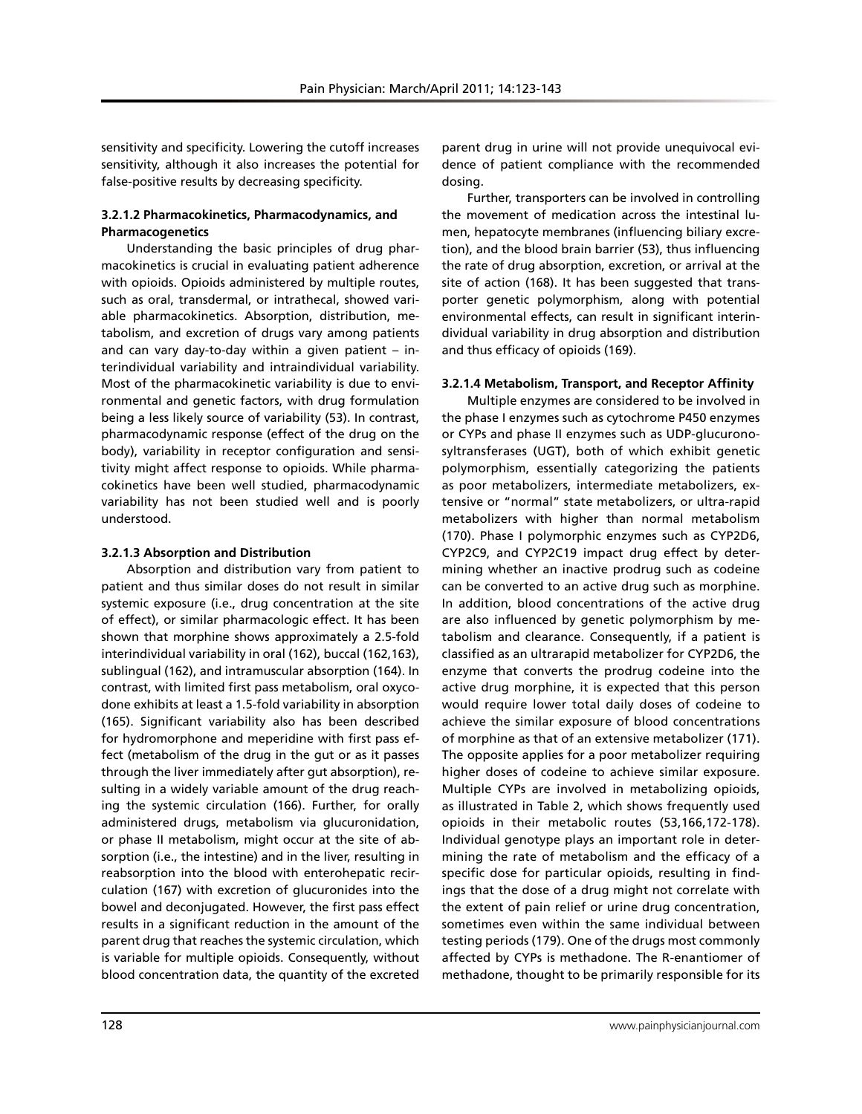sensitivity and specificity. Lowering the cutoff increases sensitivity, although it also increases the potential for false-positive results by decreasing specificity.

## **3.2.1.2 Pharmacokinetics, Pharmacodynamics, and Pharmacogenetics**

Understanding the basic principles of drug pharmacokinetics is crucial in evaluating patient adherence with opioids. Opioids administered by multiple routes, such as oral, transdermal, or intrathecal, showed variable pharmacokinetics. Absorption, distribution, metabolism, and excretion of drugs vary among patients and can vary day-to-day within a given patient – interindividual variability and intraindividual variability. Most of the pharmacokinetic variability is due to environmental and genetic factors, with drug formulation being a less likely source of variability (53). In contrast, pharmacodynamic response (effect of the drug on the body), variability in receptor configuration and sensitivity might affect response to opioids. While pharmacokinetics have been well studied, pharmacodynamic variability has not been studied well and is poorly understood.

# **3.2.1.3 Absorption and Distribution**

Absorption and distribution vary from patient to patient and thus similar doses do not result in similar systemic exposure (i.e., drug concentration at the site of effect), or similar pharmacologic effect. It has been shown that morphine shows approximately a 2.5-fold interindividual variability in oral (162), buccal (162,163), sublingual (162), and intramuscular absorption (164). In contrast, with limited first pass metabolism, oral oxycodone exhibits at least a 1.5-fold variability in absorption (165). Significant variability also has been described for hydromorphone and meperidine with first pass effect (metabolism of the drug in the gut or as it passes through the liver immediately after gut absorption), resulting in a widely variable amount of the drug reaching the systemic circulation (166). Further, for orally administered drugs, metabolism via glucuronidation, or phase II metabolism, might occur at the site of absorption (i.e., the intestine) and in the liver, resulting in reabsorption into the blood with enterohepatic recirculation (167) with excretion of glucuronides into the bowel and deconjugated. However, the first pass effect results in a significant reduction in the amount of the parent drug that reaches the systemic circulation, which is variable for multiple opioids. Consequently, without blood concentration data, the quantity of the excreted

parent drug in urine will not provide unequivocal evidence of patient compliance with the recommended dosing.

Further, transporters can be involved in controlling the movement of medication across the intestinal lumen, hepatocyte membranes (influencing biliary excretion), and the blood brain barrier (53), thus influencing the rate of drug absorption, excretion, or arrival at the site of action (168). It has been suggested that transporter genetic polymorphism, along with potential environmental effects, can result in significant interindividual variability in drug absorption and distribution and thus efficacy of opioids (169).

# **3.2.1.4 Metabolism, Transport, and Receptor Affinity**

Multiple enzymes are considered to be involved in the phase I enzymes such as cytochrome P450 enzymes or CYPs and phase II enzymes such as UDP-glucuronosyltransferases (UGT), both of which exhibit genetic polymorphism, essentially categorizing the patients as poor metabolizers, intermediate metabolizers, extensive or "normal" state metabolizers, or ultra-rapid metabolizers with higher than normal metabolism (170). Phase I polymorphic enzymes such as CYP2D6, CYP2C9, and CYP2C19 impact drug effect by determining whether an inactive prodrug such as codeine can be converted to an active drug such as morphine. In addition, blood concentrations of the active drug are also influenced by genetic polymorphism by metabolism and clearance. Consequently, if a patient is classified as an ultrarapid metabolizer for CYP2D6, the enzyme that converts the prodrug codeine into the active drug morphine, it is expected that this person would require lower total daily doses of codeine to achieve the similar exposure of blood concentrations of morphine as that of an extensive metabolizer (171). The opposite applies for a poor metabolizer requiring higher doses of codeine to achieve similar exposure. Multiple CYPs are involved in metabolizing opioids, as illustrated in Table 2, which shows frequently used opioids in their metabolic routes (53,166,172-178). Individual genotype plays an important role in determining the rate of metabolism and the efficacy of a specific dose for particular opioids, resulting in findings that the dose of a drug might not correlate with the extent of pain relief or urine drug concentration, sometimes even within the same individual between testing periods (179). One of the drugs most commonly affected by CYPs is methadone. The R-enantiomer of methadone, thought to be primarily responsible for its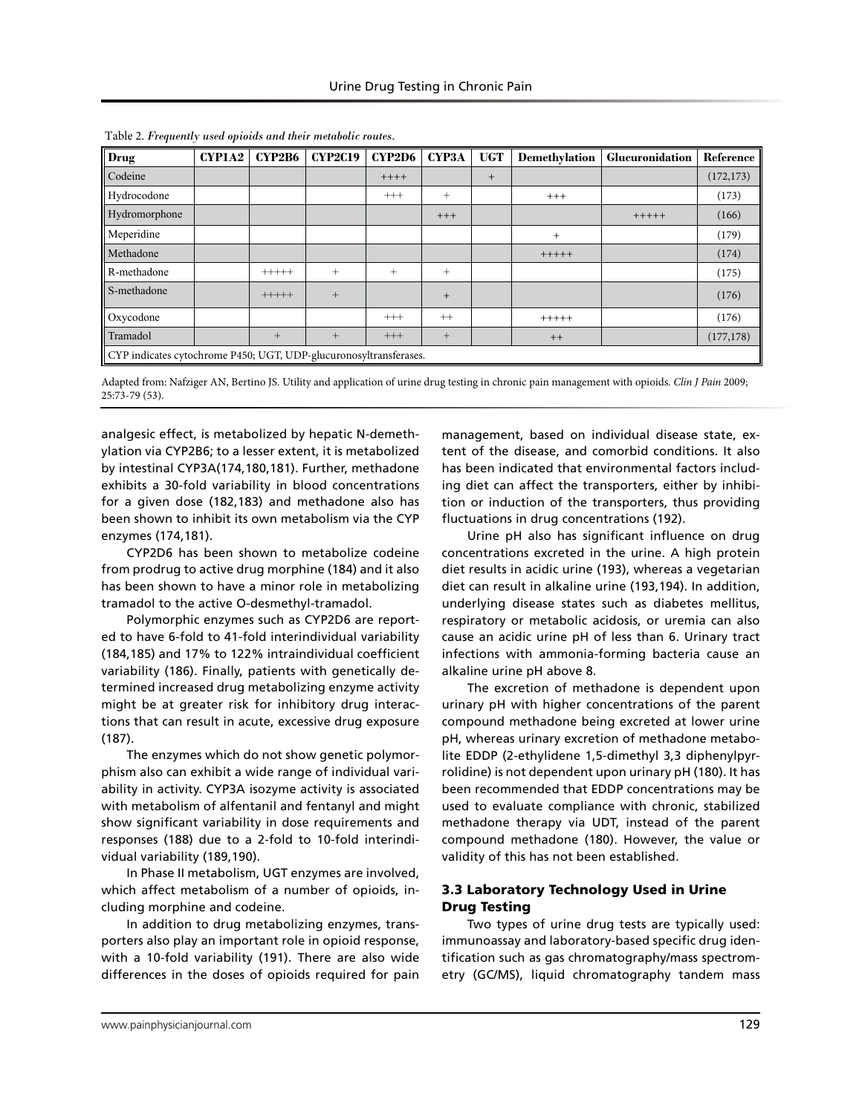| Drug                                                              | CYP1A2 | <b>CYP2B6</b> | <b>CYP2C19</b> | <b>CYP2D6</b> | CYP3A  | <b>UGT</b> | Demethylation | Glucuronidation | Reference  |
|-------------------------------------------------------------------|--------|---------------|----------------|---------------|--------|------------|---------------|-----------------|------------|
| Codeine                                                           |        |               |                | $++++$        |        | $+$        |               |                 | (172, 173) |
| Hydrocodone                                                       |        |               |                | $^{+++}$      | $^{+}$ |            | $+++$         |                 | (173)      |
| Hydromorphone                                                     |        |               |                |               | $+++$  |            |               | $+++++$         | (166)      |
| Meperidine                                                        |        |               |                |               |        |            | $+$           |                 | (179)      |
| Methadone                                                         |        |               |                |               |        |            | $+++++$       |                 | (174)      |
| R-methadone                                                       |        | $+++++$       | $+$            | $^{+}$        | $^{+}$ |            |               |                 | (175)      |
| S-methadone                                                       |        | $+++++$       | $+$            |               | $+$    |            |               |                 | (176)      |
| Oxycodone                                                         |        |               |                | $^{+++}$      | $++$   |            | $+++++$       |                 | (176)      |
| Tramadol                                                          |        | $+$           | $+$            | $^{+++}$      | $^{+}$ |            | $++$          |                 | (177, 178) |
| CYP indicates cytochrome P450; UGT, UDP-glucuronosyltransferases. |        |               |                |               |        |            |               |                 |            |

Table 2. *Frequently used opioids and their metabolic routes.*

Adapted from: Nafziger AN, Bertino JS. Utility and application of urine drug testing in chronic pain management with opioids. *Clin J Pain* 2009; 25:73-79 (53).

analgesic effect, is metabolized by hepatic N-demethylation via CYP2B6; to a lesser extent, it is metabolized by intestinal CYP3A(174,180,181). Further, methadone exhibits a 30-fold variability in blood concentrations for a given dose (182,183) and methadone also has been shown to inhibit its own metabolism via the CYP enzymes (174,181).

CYP2D6 has been shown to metabolize codeine from prodrug to active drug morphine (184) and it also has been shown to have a minor role in metabolizing tramadol to the active O-desmethyl-tramadol.

Polymorphic enzymes such as CYP2D6 are reported to have 6-fold to 41-fold interindividual variability (184,185) and 17% to 122% intraindividual coefficient variability (186). Finally, patients with genetically determined increased drug metabolizing enzyme activity might be at greater risk for inhibitory drug interactions that can result in acute, excessive drug exposure (187).

The enzymes which do not show genetic polymorphism also can exhibit a wide range of individual variability in activity. CYP3A isozyme activity is associated with metabolism of alfentanil and fentanyl and might show significant variability in dose requirements and responses (188) due to a 2-fold to 10-fold interindividual variability (189,190).

In Phase II metabolism, UGT enzymes are involved, which affect metabolism of a number of opioids, including morphine and codeine.

In addition to drug metabolizing enzymes, transporters also play an important role in opioid response, with a 10-fold variability (191). There are also wide differences in the doses of opioids required for pain

management, based on individual disease state, extent of the disease, and comorbid conditions. It also has been indicated that environmental factors including diet can affect the transporters, either by inhibition or induction of the transporters, thus providing fluctuations in drug concentrations (192).

Urine pH also has significant influence on drug concentrations excreted in the urine. A high protein diet results in acidic urine (193), whereas a vegetarian diet can result in alkaline urine (193,194). In addition, underlying disease states such as diabetes mellitus, respiratory or metabolic acidosis, or uremia can also cause an acidic urine pH of less than 6. Urinary tract infections with ammonia-forming bacteria cause an alkaline urine pH above 8.

The excretion of methadone is dependent upon urinary pH with higher concentrations of the parent compound methadone being excreted at lower urine pH, whereas urinary excretion of methadone metabolite EDDP (2-ethylidene 1,5-dimethyl 3,3 diphenylpyrrolidine) is not dependent upon urinary pH (180). It has been recommended that EDDP concentrations may be used to evaluate compliance with chronic, stabilized methadone therapy via UDT, instead of the parent compound methadone (180). However, the value or validity of this has not been established.

# 3.3 Laboratory Technology Used in Urine Drug Testing

Two types of urine drug tests are typically used: immunoassay and laboratory-based specific drug identification such as gas chromatography/mass spectrometry (GC/MS), liquid chromatography tandem mass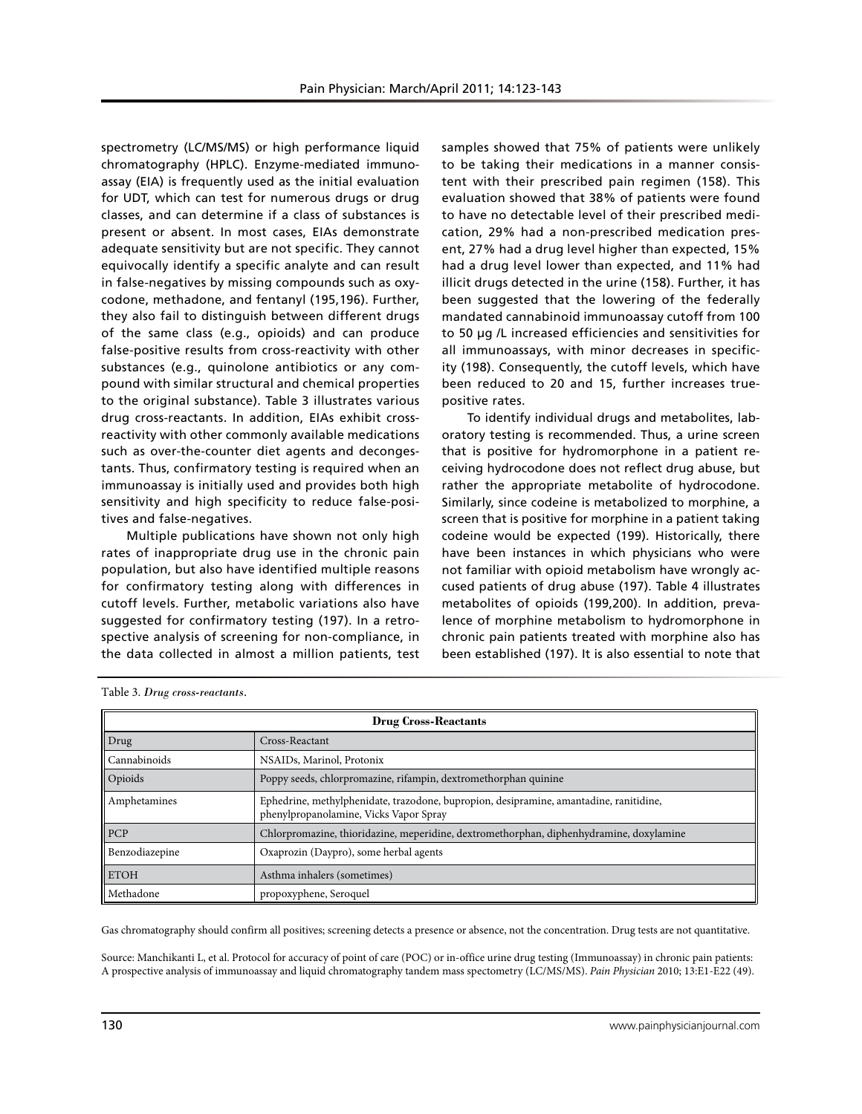spectrometry (LC/MS/MS) or high performance liquid chromatography (HPLC). Enzyme-mediated immunoassay (EIA) is frequently used as the initial evaluation for UDT, which can test for numerous drugs or drug classes, and can determine if a class of substances is present or absent. In most cases, EIAs demonstrate adequate sensitivity but are not specific. They cannot equivocally identify a specific analyte and can result in false-negatives by missing compounds such as oxycodone, methadone, and fentanyl (195,196). Further, they also fail to distinguish between different drugs of the same class (e.g., opioids) and can produce false-positive results from cross-reactivity with other substances (e.g., quinolone antibiotics or any compound with similar structural and chemical properties to the original substance). Table 3 illustrates various drug cross-reactants. In addition, EIAs exhibit crossreactivity with other commonly available medications such as over-the-counter diet agents and decongestants. Thus, confirmatory testing is required when an immunoassay is initially used and provides both high sensitivity and high specificity to reduce false-positives and false-negatives.

Multiple publications have shown not only high rates of inappropriate drug use in the chronic pain population, but also have identified multiple reasons for confirmatory testing along with differences in cutoff levels. Further, metabolic variations also have suggested for confirmatory testing (197). In a retrospective analysis of screening for non-compliance, in the data collected in almost a million patients, test

samples showed that 75% of patients were unlikely to be taking their medications in a manner consistent with their prescribed pain regimen (158). This evaluation showed that 38% of patients were found to have no detectable level of their prescribed medication, 29% had a non-prescribed medication present, 27% had a drug level higher than expected, 15% had a drug level lower than expected, and 11% had illicit drugs detected in the urine (158). Further, it has been suggested that the lowering of the federally mandated cannabinoid immunoassay cutoff from 100 to 50 μg /L increased efficiencies and sensitivities for all immunoassays, with minor decreases in specificity (198). Consequently, the cutoff levels, which have been reduced to 20 and 15, further increases truepositive rates.

To identify individual drugs and metabolites, laboratory testing is recommended. Thus, a urine screen that is positive for hydromorphone in a patient receiving hydrocodone does not reflect drug abuse, but rather the appropriate metabolite of hydrocodone. Similarly, since codeine is metabolized to morphine, a screen that is positive for morphine in a patient taking codeine would be expected (199). Historically, there have been instances in which physicians who were not familiar with opioid metabolism have wrongly accused patients of drug abuse (197). Table 4 illustrates metabolites of opioids (199,200). In addition, prevalence of morphine metabolism to hydromorphone in chronic pain patients treated with morphine also has been established (197). It is also essential to note that

| <b>Drug Cross-Reactants</b> |                                                                                                                                  |  |  |  |
|-----------------------------|----------------------------------------------------------------------------------------------------------------------------------|--|--|--|
| $\vert$ Drug                | Cross-Reactant                                                                                                                   |  |  |  |
| Cannabinoids                | NSAIDs, Marinol, Protonix                                                                                                        |  |  |  |
| Opioids                     | Poppy seeds, chlorpromazine, rifampin, dextromethorphan quinine                                                                  |  |  |  |
| Amphetamines                | Ephedrine, methylphenidate, trazodone, bupropion, desipramine, amantadine, ranitidine,<br>phenylpropanolamine, Vicks Vapor Spray |  |  |  |
| PCP                         | Chlorpromazine, thioridazine, meperidine, dextromethorphan, diphenhydramine, doxylamine                                          |  |  |  |
| Benzodiazepine              | Oxaprozin (Daypro), some herbal agents                                                                                           |  |  |  |
| <b>ETOH</b>                 | Asthma inhalers (sometimes)                                                                                                      |  |  |  |
| Methadone                   | propoxyphene, Seroquel                                                                                                           |  |  |  |

Table 3. *Drug cross-reactants.*

Gas chromatography should confirm all positives; screening detects a presence or absence, not the concentration. Drug tests are not quantitative.

Source: Manchikanti L, et al. Protocol for accuracy of point of care (POC) or in-office urine drug testing (Immunoassay) in chronic pain patients: A prospective analysis of immunoassay and liquid chromatography tandem mass spectometry (LC/MS/MS). *Pain Physician* 2010; 13:E1-E22 (49).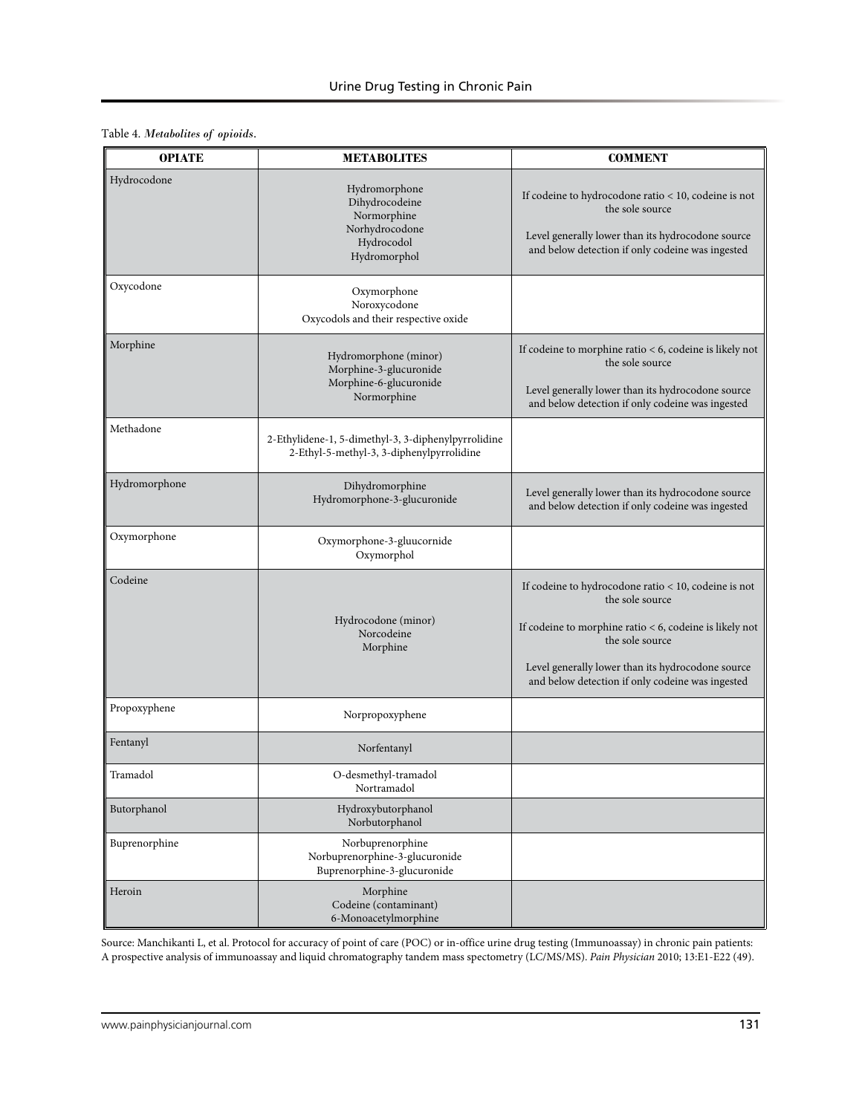Table 4. *Metabolites of opioids.*

| <b>OPIATE</b> | <b>METABOLITES</b>                                                                               | <b>COMMENT</b>                                                                                                                                                                                                                                                   |  |  |
|---------------|--------------------------------------------------------------------------------------------------|------------------------------------------------------------------------------------------------------------------------------------------------------------------------------------------------------------------------------------------------------------------|--|--|
| Hydrocodone   | Hydromorphone<br>Dihydrocodeine<br>Normorphine<br>Norhydrocodone<br>Hydrocodol<br>Hydromorphol   | If codeine to hydrocodone ratio $<10,$ codeine is not<br>the sole source<br>Level generally lower than its hydrocodone source<br>and below detection if only codeine was ingested                                                                                |  |  |
| Oxycodone     | Oxymorphone<br>Noroxycodone<br>Oxycodols and their respective oxide                              |                                                                                                                                                                                                                                                                  |  |  |
| Morphine      | Hydromorphone (minor)<br>Morphine-3-glucuronide<br>Morphine-6-glucuronide<br>Normorphine         | If codeine to morphine ratio $<$ 6, codeine is likely not<br>the sole source<br>Level generally lower than its hydrocodone source<br>and below detection if only codeine was ingested                                                                            |  |  |
| Methadone     | 2-Ethylidene-1, 5-dimethyl-3, 3-diphenylpyrrolidine<br>2-Ethyl-5-methyl-3, 3-diphenylpyrrolidine |                                                                                                                                                                                                                                                                  |  |  |
| Hydromorphone | Dihydromorphine<br>Hydromorphone-3-glucuronide                                                   | Level generally lower than its hydrocodone source<br>and below detection if only codeine was ingested                                                                                                                                                            |  |  |
| Oxymorphone   | Oxymorphone-3-gluucornide<br>Oxymorphol                                                          |                                                                                                                                                                                                                                                                  |  |  |
| Codeine       | Hydrocodone (minor)<br>Norcodeine<br>Morphine                                                    | If codeine to hydrocodone ratio < 10, codeine is not<br>the sole source<br>If codeine to morphine ratio $<$ 6, codeine is likely not<br>the sole source<br>Level generally lower than its hydrocodone source<br>and below detection if only codeine was ingested |  |  |
| Propoxyphene  | Norpropoxyphene                                                                                  |                                                                                                                                                                                                                                                                  |  |  |
| Fentanyl      | Norfentanyl                                                                                      |                                                                                                                                                                                                                                                                  |  |  |
| Tramadol      | O-desmethyl-tramadol<br>Nortramadol                                                              |                                                                                                                                                                                                                                                                  |  |  |
| Butorphanol   | Hydroxybutorphanol<br>Norbutorphanol                                                             |                                                                                                                                                                                                                                                                  |  |  |
| Buprenorphine | Norbuprenorphine<br>Norbuprenorphine-3-glucuronide<br>Buprenorphine-3-glucuronide                |                                                                                                                                                                                                                                                                  |  |  |
| Heroin        | Morphine<br>Codeine (contaminant)<br>6-Monoacetylmorphine                                        |                                                                                                                                                                                                                                                                  |  |  |

Source: Manchikanti L, et al. Protocol for accuracy of point of care (POC) or in-office urine drug testing (Immunoassay) in chronic pain patients: A prospective analysis of immunoassay and liquid chromatography tandem mass spectometry (LC/MS/MS). *Pain Physician* 2010; 13:E1-E22 (49).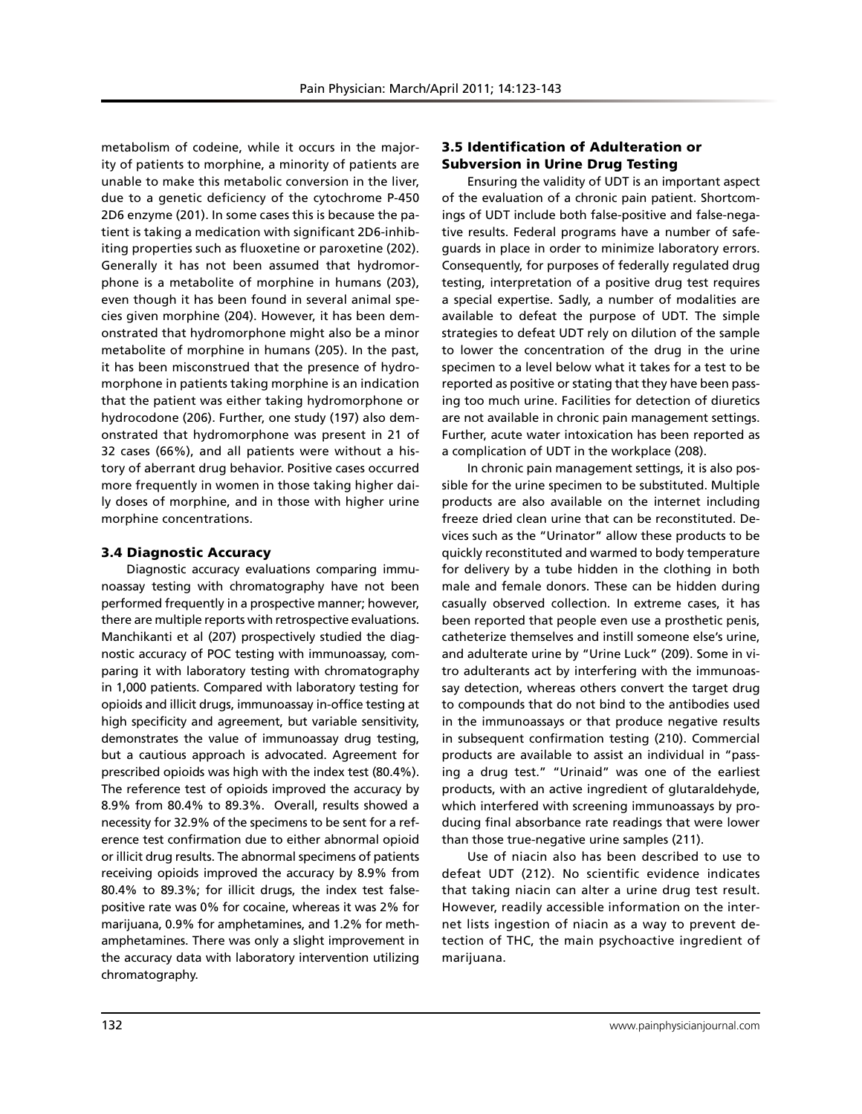metabolism of codeine, while it occurs in the majority of patients to morphine, a minority of patients are unable to make this metabolic conversion in the liver, due to a genetic deficiency of the cytochrome P-450 2D6 enzyme (201). In some cases this is because the patient is taking a medication with significant 2D6-inhibiting properties such as fluoxetine or paroxetine (202). Generally it has not been assumed that hydromorphone is a metabolite of morphine in humans (203), even though it has been found in several animal species given morphine (204). However, it has been demonstrated that hydromorphone might also be a minor metabolite of morphine in humans (205). In the past, it has been misconstrued that the presence of hydromorphone in patients taking morphine is an indication that the patient was either taking hydromorphone or hydrocodone (206). Further, one study (197) also demonstrated that hydromorphone was present in 21 of 32 cases (66%), and all patients were without a history of aberrant drug behavior. Positive cases occurred more frequently in women in those taking higher daily doses of morphine, and in those with higher urine morphine concentrations.

## 3.4 Diagnostic Accuracy

Diagnostic accuracy evaluations comparing immunoassay testing with chromatography have not been performed frequently in a prospective manner; however, there are multiple reports with retrospective evaluations. Manchikanti et al (207) prospectively studied the diagnostic accuracy of POC testing with immunoassay, comparing it with laboratory testing with chromatography in 1,000 patients. Compared with laboratory testing for opioids and illicit drugs, immunoassay in-office testing at high specificity and agreement, but variable sensitivity, demonstrates the value of immunoassay drug testing, but a cautious approach is advocated. Agreement for prescribed opioids was high with the index test (80.4%). The reference test of opioids improved the accuracy by 8.9% from 80.4% to 89.3%. Overall, results showed a necessity for 32.9% of the specimens to be sent for a reference test confirmation due to either abnormal opioid or illicit drug results. The abnormal specimens of patients receiving opioids improved the accuracy by 8.9% from 80.4% to 89.3%; for illicit drugs, the index test falsepositive rate was 0% for cocaine, whereas it was 2% for marijuana, 0.9% for amphetamines, and 1.2% for methamphetamines. There was only a slight improvement in the accuracy data with laboratory intervention utilizing chromatography.

## 3.5 Identification of Adulteration or Subversion in Urine Drug Testing

Ensuring the validity of UDT is an important aspect of the evaluation of a chronic pain patient. Shortcomings of UDT include both false-positive and false-negative results. Federal programs have a number of safeguards in place in order to minimize laboratory errors. Consequently, for purposes of federally regulated drug testing, interpretation of a positive drug test requires a special expertise. Sadly, a number of modalities are available to defeat the purpose of UDT. The simple strategies to defeat UDT rely on dilution of the sample to lower the concentration of the drug in the urine specimen to a level below what it takes for a test to be reported as positive or stating that they have been passing too much urine. Facilities for detection of diuretics are not available in chronic pain management settings. Further, acute water intoxication has been reported as a complication of UDT in the workplace (208).

In chronic pain management settings, it is also possible for the urine specimen to be substituted. Multiple products are also available on the internet including freeze dried clean urine that can be reconstituted. Devices such as the "Urinator" allow these products to be quickly reconstituted and warmed to body temperature for delivery by a tube hidden in the clothing in both male and female donors. These can be hidden during casually observed collection. In extreme cases, it has been reported that people even use a prosthetic penis, catheterize themselves and instill someone else's urine, and adulterate urine by "Urine Luck" (209). Some in vitro adulterants act by interfering with the immunoassay detection, whereas others convert the target drug to compounds that do not bind to the antibodies used in the immunoassays or that produce negative results in subsequent confirmation testing (210). Commercial products are available to assist an individual in "passing a drug test." "Urinaid" was one of the earliest products, with an active ingredient of glutaraldehyde, which interfered with screening immunoassays by producing final absorbance rate readings that were lower than those true-negative urine samples (211).

Use of niacin also has been described to use to defeat UDT (212). No scientific evidence indicates that taking niacin can alter a urine drug test result. However, readily accessible information on the internet lists ingestion of niacin as a way to prevent detection of THC, the main psychoactive ingredient of marijuana.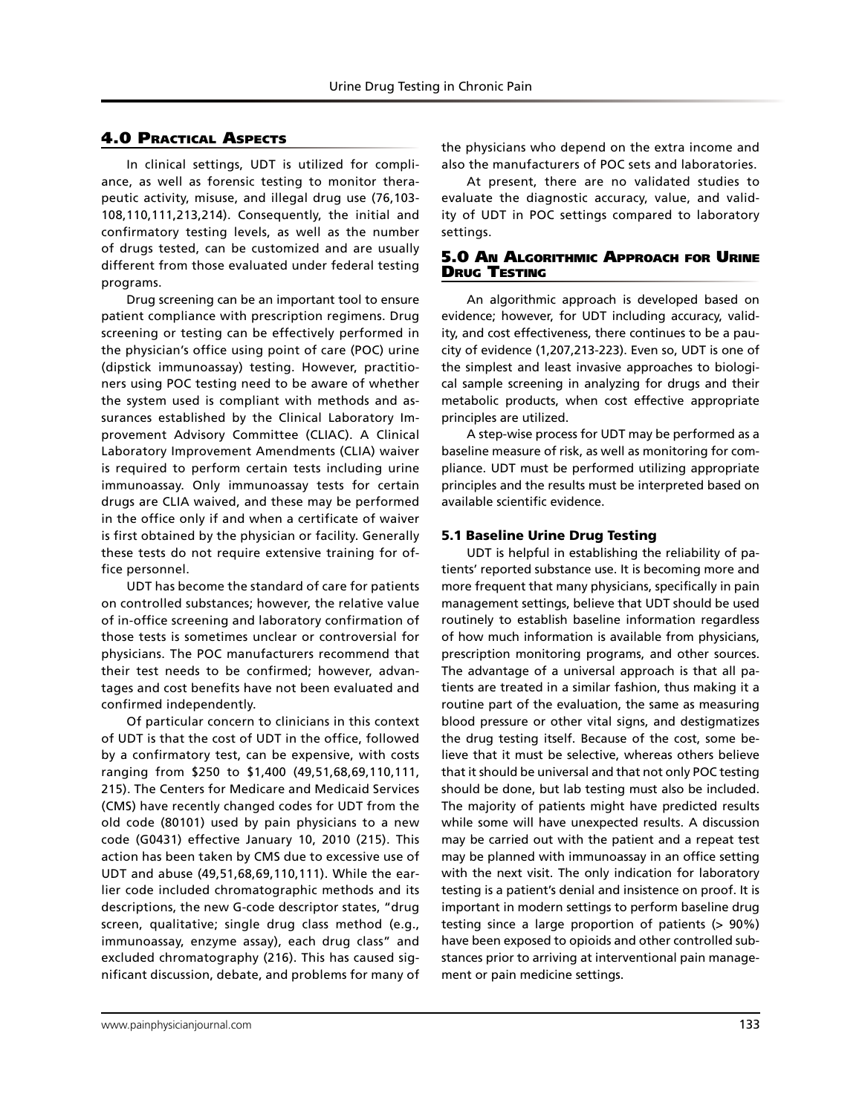# 4.0 Practical Aspects

In clinical settings, UDT is utilized for compliance, as well as forensic testing to monitor therapeutic activity, misuse, and illegal drug use (76,103- 108,110,111,213,214). Consequently, the initial and confirmatory testing levels, as well as the number of drugs tested, can be customized and are usually different from those evaluated under federal testing programs.

Drug screening can be an important tool to ensure patient compliance with prescription regimens. Drug screening or testing can be effectively performed in the physician's office using point of care (POC) urine (dipstick immunoassay) testing. However, practitioners using POC testing need to be aware of whether the system used is compliant with methods and assurances established by the Clinical Laboratory Improvement Advisory Committee (CLIAC). A Clinical Laboratory Improvement Amendments (CLIA) waiver is required to perform certain tests including urine immunoassay. Only immunoassay tests for certain drugs are CLIA waived, and these may be performed in the office only if and when a certificate of waiver is first obtained by the physician or facility. Generally these tests do not require extensive training for office personnel.

UDT has become the standard of care for patients on controlled substances; however, the relative value of in-office screening and laboratory confirmation of those tests is sometimes unclear or controversial for physicians. The POC manufacturers recommend that their test needs to be confirmed; however, advantages and cost benefits have not been evaluated and confirmed independently.

Of particular concern to clinicians in this context of UDT is that the cost of UDT in the office, followed by a confirmatory test, can be expensive, with costs ranging from \$250 to \$1,400 (49,51,68,69,110,111, 215). The Centers for Medicare and Medicaid Services (CMS) have recently changed codes for UDT from the old code (80101) used by pain physicians to a new code (G0431) effective January 10, 2010 (215). This action has been taken by CMS due to excessive use of UDT and abuse (49,51,68,69,110,111). While the earlier code included chromatographic methods and its descriptions, the new G-code descriptor states, "drug screen, qualitative; single drug class method (e.g., immunoassay, enzyme assay), each drug class" and excluded chromatography (216). This has caused significant discussion, debate, and problems for many of the physicians who depend on the extra income and also the manufacturers of POC sets and laboratories.

At present, there are no validated studies to evaluate the diagnostic accuracy, value, and validity of UDT in POC settings compared to laboratory settings.

## 5.0 An Algorithmic Approach for Urine **DRUG TESTING**

An algorithmic approach is developed based on evidence; however, for UDT including accuracy, validity, and cost effectiveness, there continues to be a paucity of evidence (1,207,213-223). Even so, UDT is one of the simplest and least invasive approaches to biological sample screening in analyzing for drugs and their metabolic products, when cost effective appropriate principles are utilized.

A step-wise process for UDT may be performed as a baseline measure of risk, as well as monitoring for compliance. UDT must be performed utilizing appropriate principles and the results must be interpreted based on available scientific evidence.

## 5.1 Baseline Urine Drug Testing

UDT is helpful in establishing the reliability of patients' reported substance use. It is becoming more and more frequent that many physicians, specifically in pain management settings, believe that UDT should be used routinely to establish baseline information regardless of how much information is available from physicians, prescription monitoring programs, and other sources. The advantage of a universal approach is that all patients are treated in a similar fashion, thus making it a routine part of the evaluation, the same as measuring blood pressure or other vital signs, and destigmatizes the drug testing itself. Because of the cost, some believe that it must be selective, whereas others believe that it should be universal and that not only POC testing should be done, but lab testing must also be included. The majority of patients might have predicted results while some will have unexpected results. A discussion may be carried out with the patient and a repeat test may be planned with immunoassay in an office setting with the next visit. The only indication for laboratory testing is a patient's denial and insistence on proof. It is important in modern settings to perform baseline drug testing since a large proportion of patients (> 90%) have been exposed to opioids and other controlled substances prior to arriving at interventional pain management or pain medicine settings.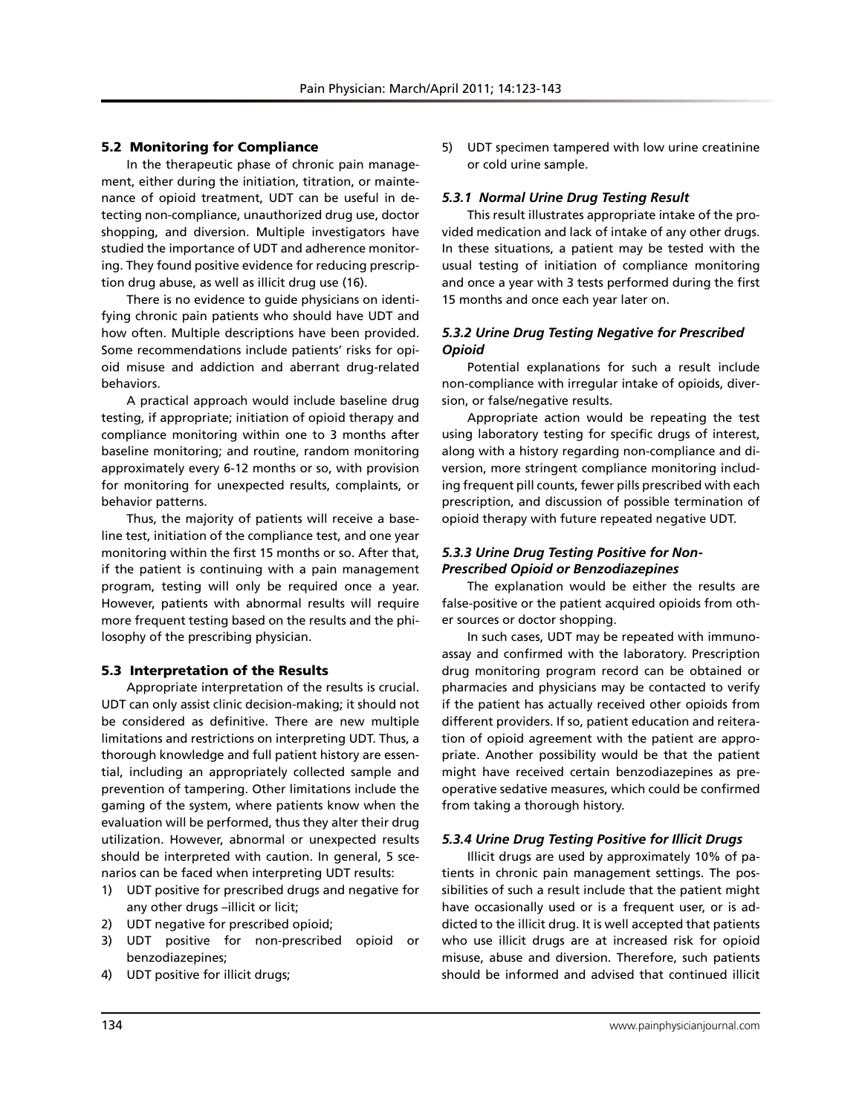## 5.2 Monitoring for Compliance

In the therapeutic phase of chronic pain management, either during the initiation, titration, or maintenance of opioid treatment, UDT can be useful in detecting non-compliance, unauthorized drug use, doctor shopping, and diversion. Multiple investigators have studied the importance of UDT and adherence monitoring. They found positive evidence for reducing prescription drug abuse, as well as illicit drug use (16).

There is no evidence to guide physicians on identifying chronic pain patients who should have UDT and how often. Multiple descriptions have been provided. Some recommendations include patients' risks for opioid misuse and addiction and aberrant drug-related behaviors.

A practical approach would include baseline drug testing, if appropriate; initiation of opioid therapy and compliance monitoring within one to 3 months after baseline monitoring; and routine, random monitoring approximately every 6-12 months or so, with provision for monitoring for unexpected results, complaints, or behavior patterns.

Thus, the majority of patients will receive a baseline test, initiation of the compliance test, and one year monitoring within the first 15 months or so. After that, if the patient is continuing with a pain management program, testing will only be required once a year. However, patients with abnormal results will require more frequent testing based on the results and the philosophy of the prescribing physician.

#### 5.3 Interpretation of the Results

Appropriate interpretation of the results is crucial. UDT can only assist clinic decision-making; it should not be considered as definitive. There are new multiple limitations and restrictions on interpreting UDT. Thus, a thorough knowledge and full patient history are essential, including an appropriately collected sample and prevention of tampering. Other limitations include the gaming of the system, where patients know when the evaluation will be performed, thus they alter their drug utilization. However, abnormal or unexpected results should be interpreted with caution. In general, 5 scenarios can be faced when interpreting UDT results:

- 1) UDT positive for prescribed drugs and negative for any other drugs –illicit or licit;
- 2) UDT negative for prescribed opioid;
- 3) UDT positive for non-prescribed opioid or benzodiazepines;
- 4) UDT positive for illicit drugs;

5) UDT specimen tampered with low urine creatinine or cold urine sample.

#### *5.3.1 Normal Urine Drug Testing Result*

This result illustrates appropriate intake of the provided medication and lack of intake of any other drugs. In these situations, a patient may be tested with the usual testing of initiation of compliance monitoring and once a year with 3 tests performed during the first 15 months and once each year later on.

## *5.3.2 Urine Drug Testing Negative for Prescribed Opioid*

Potential explanations for such a result include non-compliance with irregular intake of opioids, diversion, or false/negative results.

Appropriate action would be repeating the test using laboratory testing for specific drugs of interest, along with a history regarding non-compliance and diversion, more stringent compliance monitoring including frequent pill counts, fewer pills prescribed with each prescription, and discussion of possible termination of opioid therapy with future repeated negative UDT.

# *5.3.3 Urine Drug Testing Positive for Non-Prescribed Opioid or Benzodiazepines*

The explanation would be either the results are false-positive or the patient acquired opioids from other sources or doctor shopping.

In such cases, UDT may be repeated with immunoassay and confirmed with the laboratory. Prescription drug monitoring program record can be obtained or pharmacies and physicians may be contacted to verify if the patient has actually received other opioids from different providers. If so, patient education and reiteration of opioid agreement with the patient are appropriate. Another possibility would be that the patient might have received certain benzodiazepines as preoperative sedative measures, which could be confirmed from taking a thorough history.

## *5.3.4 Urine Drug Testing Positive for Illicit Drugs*

Illicit drugs are used by approximately 10% of patients in chronic pain management settings. The possibilities of such a result include that the patient might have occasionally used or is a frequent user, or is addicted to the illicit drug. It is well accepted that patients who use illicit drugs are at increased risk for opioid misuse, abuse and diversion. Therefore, such patients should be informed and advised that continued illicit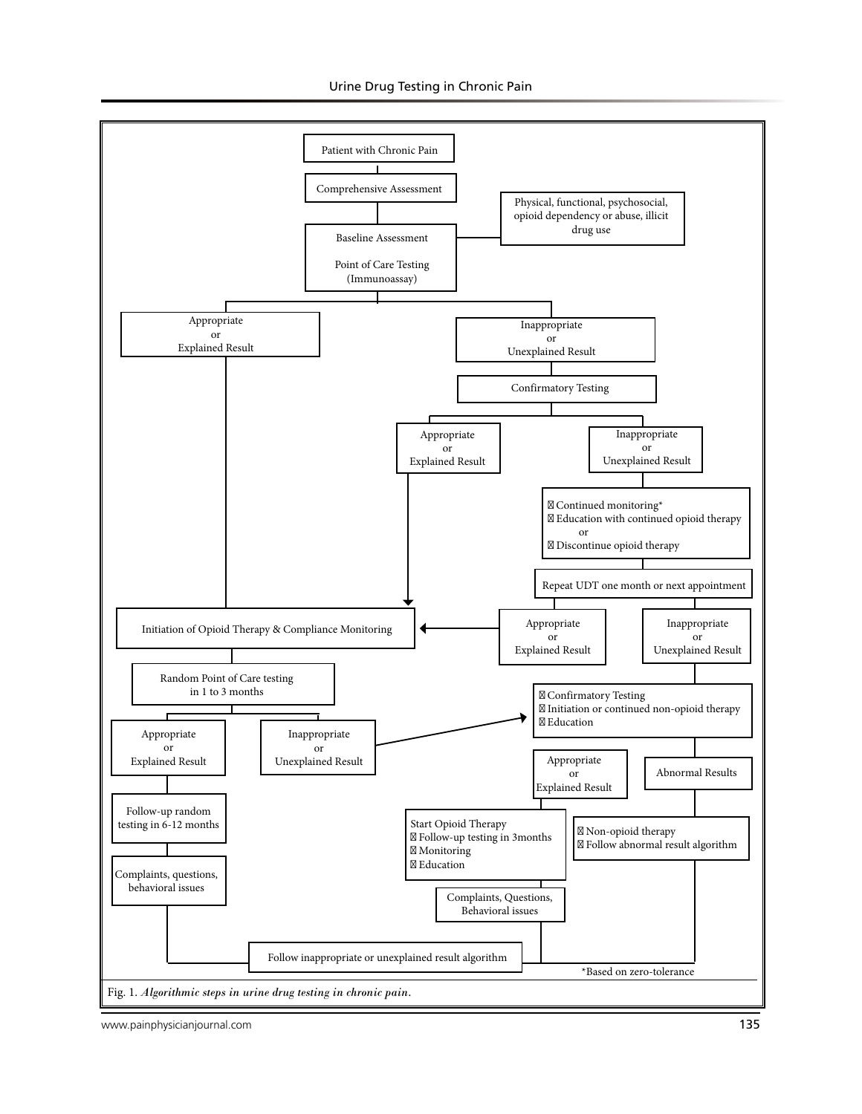

www.painphysicianjournal.com **135**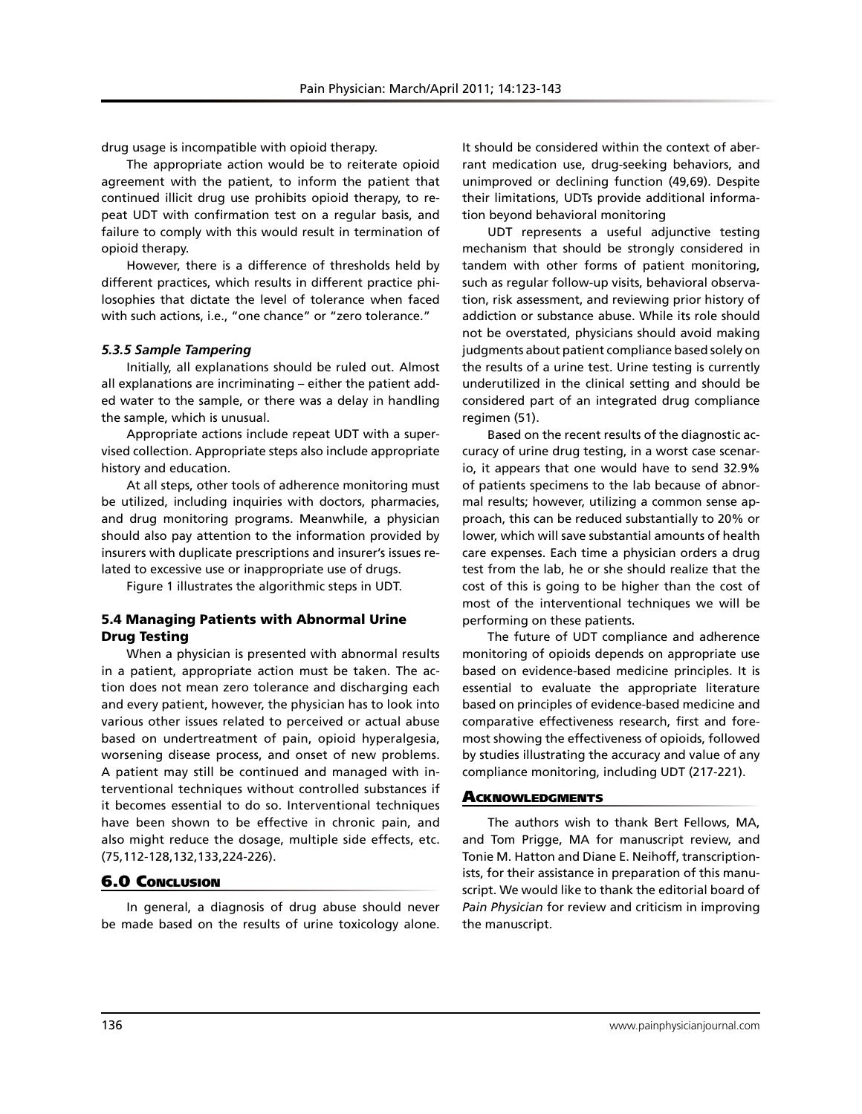drug usage is incompatible with opioid therapy.

The appropriate action would be to reiterate opioid agreement with the patient, to inform the patient that continued illicit drug use prohibits opioid therapy, to repeat UDT with confirmation test on a regular basis, and failure to comply with this would result in termination of opioid therapy.

However, there is a difference of thresholds held by different practices, which results in different practice philosophies that dictate the level of tolerance when faced with such actions, i.e., "one chance" or "zero tolerance."

#### *5.3.5 Sample Tampering*

Initially, all explanations should be ruled out. Almost all explanations are incriminating – either the patient added water to the sample, or there was a delay in handling the sample, which is unusual.

Appropriate actions include repeat UDT with a supervised collection. Appropriate steps also include appropriate history and education.

At all steps, other tools of adherence monitoring must be utilized, including inquiries with doctors, pharmacies, and drug monitoring programs. Meanwhile, a physician should also pay attention to the information provided by insurers with duplicate prescriptions and insurer's issues related to excessive use or inappropriate use of drugs.

Figure 1 illustrates the algorithmic steps in UDT.

## 5.4 Managing Patients with Abnormal Urine Drug Testing

When a physician is presented with abnormal results in a patient, appropriate action must be taken. The action does not mean zero tolerance and discharging each and every patient, however, the physician has to look into various other issues related to perceived or actual abuse based on undertreatment of pain, opioid hyperalgesia, worsening disease process, and onset of new problems. A patient may still be continued and managed with interventional techniques without controlled substances if it becomes essential to do so. Interventional techniques have been shown to be effective in chronic pain, and also might reduce the dosage, multiple side effects, etc. (75,112-128,132,133,224-226).

## 6.0 Conclusion

In general, a diagnosis of drug abuse should never be made based on the results of urine toxicology alone.

It should be considered within the context of aberrant medication use, drug-seeking behaviors, and unimproved or declining function (49,69). Despite their limitations, UDTs provide additional information beyond behavioral monitoring

UDT represents a useful adjunctive testing mechanism that should be strongly considered in tandem with other forms of patient monitoring, such as regular follow-up visits, behavioral observation, risk assessment, and reviewing prior history of addiction or substance abuse. While its role should not be overstated, physicians should avoid making judgments about patient compliance based solely on the results of a urine test. Urine testing is currently underutilized in the clinical setting and should be considered part of an integrated drug compliance regimen (51).

Based on the recent results of the diagnostic accuracy of urine drug testing, in a worst case scenario, it appears that one would have to send 32.9% of patients specimens to the lab because of abnormal results; however, utilizing a common sense approach, this can be reduced substantially to 20% or lower, which will save substantial amounts of health care expenses. Each time a physician orders a drug test from the lab, he or she should realize that the cost of this is going to be higher than the cost of most of the interventional techniques we will be performing on these patients.

The future of UDT compliance and adherence monitoring of opioids depends on appropriate use based on evidence-based medicine principles. It is essential to evaluate the appropriate literature based on principles of evidence-based medicine and comparative effectiveness research, first and foremost showing the effectiveness of opioids, followed by studies illustrating the accuracy and value of any compliance monitoring, including UDT (217-221).

#### **ACKNOWLEDGMENTS**

The authors wish to thank Bert Fellows, MA, and Tom Prigge, MA for manuscript review, and Tonie M. Hatton and Diane E. Neihoff, transcriptionists, for their assistance in preparation of this manuscript. We would like to thank the editorial board of *Pain Physician* for review and criticism in improving the manuscript.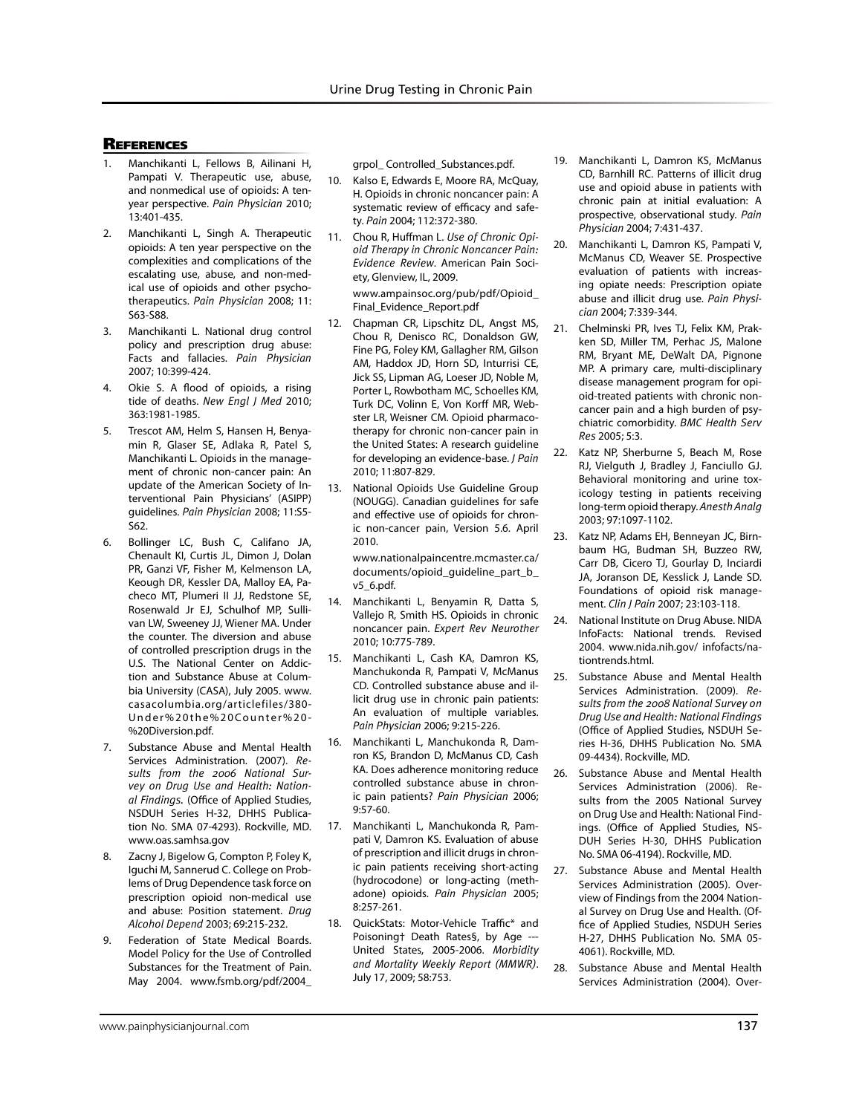#### **REFERENCES**

- 1. Manchikanti L, Fellows B, Ailinani H, Pampati V. Therapeutic use, abuse, and nonmedical use of opioids: A tenyear perspective. *Pain Physician* 2010; 13:401-435.
- 2. Manchikanti L, Singh A. Therapeutic opioids: A ten year perspective on the complexities and complications of the escalating use, abuse, and non-medical use of opioids and other psychotherapeutics. *Pain Physician* 2008; 11: S63-S88.
- 3. Manchikanti L. National drug control policy and prescription drug abuse: Facts and fallacies. *Pain Physician*  2007; 10:399-424.
- 4. Okie S. A flood of opioids, a rising tide of deaths. *New Engl J Med* 2010; 363:1981-1985.
- 5. Trescot AM, Helm S, Hansen H, Benyamin R, Glaser SE, Adlaka R, Patel S, Manchikanti L. Opioids in the management of chronic non-cancer pain: An update of the American Society of Interventional Pain Physicians' (ASIPP) guidelines. *Pain Physician* 2008; 11:S5- S62.
- 6. Bollinger LC, Bush C, Califano JA, Chenault KI, Curtis JL, Dimon J, Dolan PR, Ganzi VF, Fisher M, Kelmenson LA, Keough DR, Kessler DA, Malloy EA, Pacheco MT, Plumeri II JJ, Redstone SE, Rosenwald Jr EJ, Schulhof MP, Sullivan LW, Sweeney JJ, Wiener MA. Under the counter. The diversion and abuse of controlled prescription drugs in the U.S. The National Center on Addiction and Substance Abuse at Columbia University (CASA), July 2005. www. casacolumbia.org/articlefiles/380- Under%20the%20Counter%20- %20Diversion.pdf.
- 7. Substance Abuse and Mental Health Services Administration. (2007). *Results from the 2006 National Survey on Drug Use and Health: National Findings.* (Office of Applied Studies, NSDUH Series H-32, DHHS Publication No. SMA 07-4293). Rockville, MD. www.oas.samhsa.gov
- 8. Zacny J, Bigelow G, Compton P, Foley K, Iguchi M, Sannerud C. College on Problems of Drug Dependence task force on prescription opioid non-medical use and abuse: Position statement. *Drug Alcohol Depend* 2003; 69:215-232.
- 9. Federation of State Medical Boards. Model Policy for the Use of Controlled Substances for the Treatment of Pain. May 2004. www.fsmb.org/pdf/2004\_

grpol\_ Controlled\_Substances.pdf.

- 10. Kalso E, Edwards E, Moore RA, McQuay, H. Opioids in chronic noncancer pain: A systematic review of efficacy and safety. *Pain* 2004; 112:372-380.
- 11. Chou R, Huffman L. *Use of Chronic Opioid Therapy in Chronic Noncancer Pain: Evidence Review*. American Pain Society, Glenview, IL, 2009.

www.ampainsoc.org/pub/pdf/Opioid\_ Final\_Evidence\_Report.pdf

- 12. Chapman CR, Lipschitz DL, Angst MS, Chou R, Denisco RC, Donaldson GW, Fine PG, Foley KM, Gallagher RM, Gilson AM, Haddox JD, Horn SD, Inturrisi CE, Jick SS, Lipman AG, Loeser JD, Noble M, Porter L, Rowbotham MC, Schoelles KM, Turk DC, Volinn E, Von Korff MR, Webster LR, Weisner CM. Opioid pharmacotherapy for chronic non-cancer pain in the United States: A research guideline for developing an evidence-base. *J Pain* 2010; 11:807-829.
- 13. National Opioids Use Guideline Group (NOUGG). Canadian guidelines for safe and effective use of opioids for chronic non-cancer pain, Version 5.6. April 2010.

www.nationalpaincentre.mcmaster.ca/ documents/opioid\_guideline\_part\_b\_ v5\_6.pdf.

- 14. Manchikanti L, Benyamin R, Datta S, Vallejo R, Smith HS. Opioids in chronic noncancer pain. *Expert Rev Neurother* 2010; 10:775-789.
- 15. Manchikanti L, Cash KA, Damron KS, Manchukonda R, Pampati V, McManus CD. Controlled substance abuse and illicit drug use in chronic pain patients: An evaluation of multiple variables. *Pain Physician* 2006; 9:215-226.
- 16. Manchikanti L, Manchukonda R, Damron KS, Brandon D, McManus CD, Cash KA. Does adherence monitoring reduce controlled substance abuse in chronic pain patients? *Pain Physician* 2006; 9:57-60.
- 17. Manchikanti L, Manchukonda R, Pampati V, Damron KS. Evaluation of abuse of prescription and illicit drugs in chronic pain patients receiving short-acting (hydrocodone) or long-acting (methadone) opioids. *Pain Physician* 2005; 8:257-261.
- 18. QuickStats: Motor-Vehicle Traffic\* and Poisoning† Death Rates§, by Age --- United States, 2005-2006. *Morbidity and Mortality Weekly Report (MMWR)*. July 17, 2009; 58:753.
- 19. Manchikanti L, Damron KS, McManus CD, Barnhill RC. Patterns of illicit drug use and opioid abuse in patients with chronic pain at initial evaluation: A prospective, observational study. *Pain Physician* 2004; 7:431-437.
- 20. Manchikanti L, Damron KS, Pampati V, McManus CD, Weaver SE. Prospective evaluation of patients with increasing opiate needs: Prescription opiate abuse and illicit drug use. *Pain Physician* 2004; 7:339-344.
- 21. Chelminski PR, Ives TJ, Felix KM, Prakken SD, Miller TM, Perhac JS, Malone RM, Bryant ME, DeWalt DA, Pignone MP. A primary care, multi-disciplinary disease management program for opioid-treated patients with chronic noncancer pain and a high burden of psychiatric comorbidity. *BMC Health Serv Res* 2005; 5:3.
- 22. Katz NP, Sherburne S, Beach M, Rose RJ, Vielguth J, Bradley J, Fanciullo GJ. Behavioral monitoring and urine toxicology testing in patients receiving long-term opioid therapy. *Anesth Analg*  2003; 97:1097-1102.
- 23. Katz NP, Adams EH, Benneyan JC, Birnbaum HG, Budman SH, Buzzeo RW, Carr DB, Cicero TJ, Gourlay D, Inciardi JA, Joranson DE, Kesslick J, Lande SD. Foundations of opioid risk management. *Clin J Pain* 2007; 23:103-118.
- 24. National Institute on Drug Abuse. NIDA InfoFacts: National trends. Revised 2004. www.nida.nih.gov/ infofacts/nationtrends.html.
- 25. Substance Abuse and Mental Health Services Administration. (2009). *Results from the 2008 National Survey on Drug Use and Health: National Findings* (Office of Applied Studies, NSDUH Series H-36, DHHS Publication No. SMA 09-4434). Rockville, MD.
- 26. Substance Abuse and Mental Health Services Administration (2006). Results from the 2005 National Survey on Drug Use and Health: National Findings. (Office of Applied Studies, NS-DUH Series H-30, DHHS Publication No. SMA 06-4194). Rockville, MD.
- 27. Substance Abuse and Mental Health Services Administration (2005). Overview of Findings from the 2004 National Survey on Drug Use and Health. (Office of Applied Studies, NSDUH Series H-27, DHHS Publication No. SMA 05- 4061). Rockville, MD.
- 28. Substance Abuse and Mental Health Services Administration (2004). Over-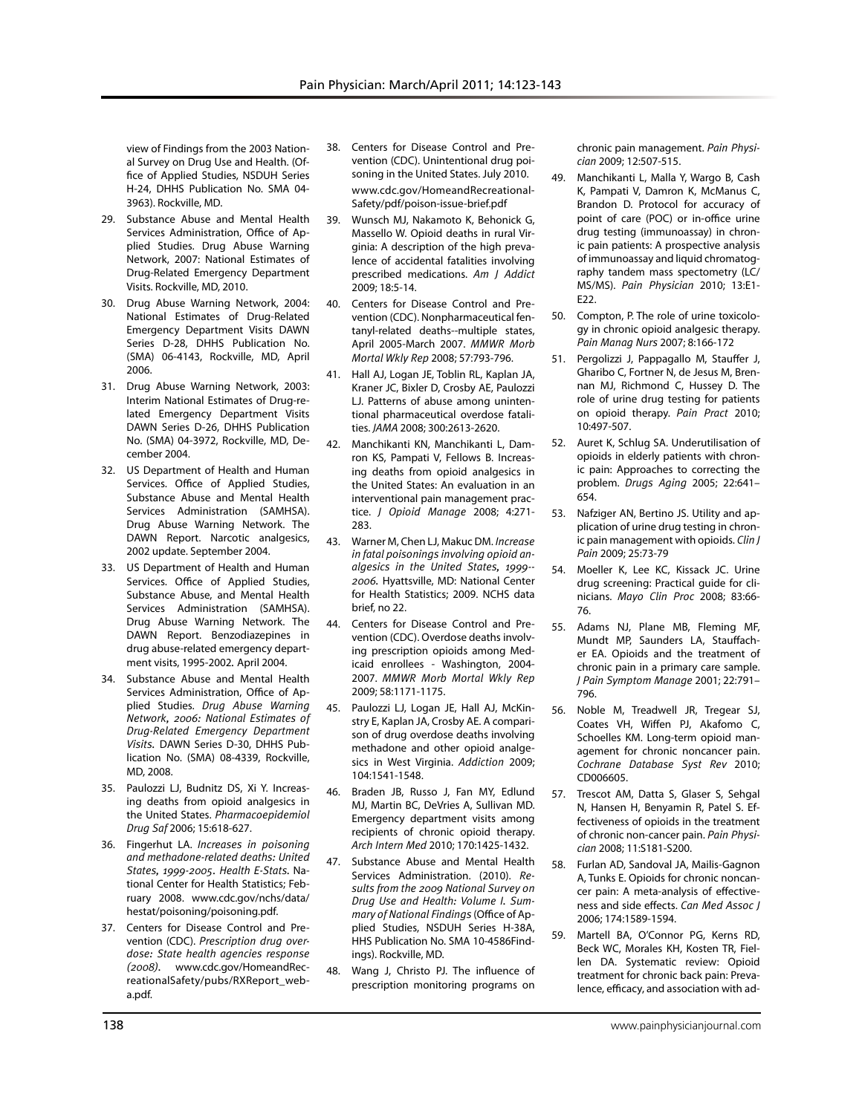view of Findings from the 2003 National Survey on Drug Use and Health. (Office of Applied Studies, NSDUH Series H-24, DHHS Publication No. SMA 04- 3963). Rockville, MD.

- 29. Substance Abuse and Mental Health Services Administration, Office of Applied Studies. Drug Abuse Warning Network, 2007: National Estimates of Drug-Related Emergency Department Visits. Rockville, MD, 2010.
- 30. Drug Abuse Warning Network, 2004: National Estimates of Drug-Related Emergency Department Visits DAWN Series D-28, DHHS Publication No. (SMA) 06-4143, Rockville, MD, April 2006.
- 31. Drug Abuse Warning Network, 2003: Interim National Estimates of Drug-related Emergency Department Visits DAWN Series D-26, DHHS Publication No. (SMA) 04-3972, Rockville, MD, December 2004.
- 32. US Department of Health and Human Services. Office of Applied Studies, Substance Abuse and Mental Health Services Administration (SAMHSA). Drug Abuse Warning Network. The DAWN Report. Narcotic analgesics, 2002 update. September 2004.
- 33. US Department of Health and Human Services. Office of Applied Studies, Substance Abuse, and Mental Health Services Administration (SAMHSA). Drug Abuse Warning Network. The DAWN Report. Benzodiazepines in drug abuse-related emergency department visits, 1995-2002*.* April 2004.
- 34. Substance Abuse and Mental Health Services Administration, Office of Applied Studies. *Drug Abuse Warning Network, 2006: National Estimates of Drug-Related Emergency Department Visits.* DAWN Series D-30, DHHS Publication No. (SMA) 08-4339, Rockville, MD, 2008.
- 35. Paulozzi LJ, Budnitz DS, Xi Y. Increasing deaths from opioid analgesics in the United States. *Pharmacoepidemiol Drug Saf* 2006; 15:618-627.
- 36. Fingerhut LA. *Increases in poisoning and methadone-related deaths: United States, 1999-2005. Health E-Stats.* National Center for Health Statistics; February 2008. www.cdc.gov/nchs/data/ hestat/poisoning/poisoning.pdf.
- 37. Centers for Disease Control and Prevention (CDC). *Prescription drug overdose: State health agencies response (2008).* www.cdc.gov/HomeandRecreationalSafety/pubs/RXReport\_weba.pdf.
- 38. Centers for Disease Control and Prevention (CDC). Unintentional drug poisoning in the United States. July 2010. www.cdc.gov/HomeandRecreational-Safety/pdf/poison-issue-brief.pdf
- 39. Wunsch MJ, Nakamoto K, Behonick G, Massello W. Opioid deaths in rural Virginia: A description of the high prevalence of accidental fatalities involving prescribed medications. *Am J Addict* 2009; 18:5-14.
- 40. Centers for Disease Control and Prevention (CDC). Nonpharmaceutical fentanyl-related deaths--multiple states, April 2005-March 2007. *MMWR Morb Mortal Wkly Rep* 2008; 57:793-796.
- 41. Hall AJ, Logan JE, Toblin RL, Kaplan JA, Kraner JC, Bixler D, Crosby AE, Paulozzi LJ. Patterns of abuse among unintentional pharmaceutical overdose fatalities. *JAMA* 2008; 300:2613-2620.
- 42. Manchikanti KN, Manchikanti L, Damron KS, Pampati V, Fellows B. Increasing deaths from opioid analgesics in the United States: An evaluation in an interventional pain management practice. *J Opioid Manage* 2008; 4:271- 283.
- 43. Warner M, Chen LJ, Makuc DM. *Increase in fatal poisonings involving opioid analgesics in the United States, 1999-- 2006.* Hyattsville, MD: National Center for Health Statistics; 2009. NCHS data brief, no 22.
- 44. Centers for Disease Control and Prevention (CDC). Overdose deaths involving prescription opioids among Medicaid enrollees - Washington, 2004- 2007. *MMWR Morb Mortal Wkly Rep* 2009; 58:1171-1175.
- 45. Paulozzi LJ, Logan JE, Hall AJ, McKinstry E, Kaplan JA, Crosby AE. A comparison of drug overdose deaths involving methadone and other opioid analgesics in West Virginia. *Addiction* 2009; 104:1541-1548.
- 46. Braden JB, Russo J, Fan MY, Edlund MJ, Martin BC, DeVries A, Sullivan MD. Emergency department visits among recipients of chronic opioid therapy. *Arch Intern Med* 2010; 170:1425-1432.
- 47. Substance Abuse and Mental Health Services Administration. (2010). *Results from the 2009 National Survey on Drug Use and Health: Volume I. Summary of National Findings* (Office of Applied Studies, NSDUH Series H-38A, HHS Publication No. SMA 10-4586Findings). Rockville, MD.
- 48. Wang J, Christo PJ. The influence of prescription monitoring programs on

chronic pain management. *Pain Physician* 2009; 12:507-515.

- 49. Manchikanti L, Malla Y, Wargo B, Cash K, Pampati V, Damron K, McManus C, Brandon D. Protocol for accuracy of point of care (POC) or in-office urine drug testing (immunoassay) in chronic pain patients: A prospective analysis of immunoassay and liquid chromatography tandem mass spectometry (LC/ MS/MS). *Pain Physician* 2010; 13:E1- E22.
- 50. Compton, P. The role of urine toxicology in chronic opioid analgesic therapy. *Pain Manag Nurs* 2007; 8:166-172
- 51. Pergolizzi J, Pappagallo M, Stauffer J, Gharibo C, Fortner N, de Jesus M, Brennan MJ, Richmond C, Hussey D. The role of urine drug testing for patients on opioid therapy. *Pain Pract* 2010; 10:497-507.
- 52. Auret K, Schlug SA. Underutilisation of opioids in elderly patients with chronic pain: Approaches to correcting the problem. *Drugs Aging* 2005; 22:641– 654.
- 53. Nafziger AN, Bertino JS. Utility and application of urine drug testing in chronic pain management with opioids. *Clin J Pain* 2009; 25:73-79
- 54. Moeller K, Lee KC, Kissack JC. Urine drug screening: Practical guide for clinicians. *Mayo Clin Proc* 2008; 83:66- 76.
- 55. Adams NJ, Plane MB, Fleming MF, Mundt MP, Saunders LA, Stauffacher EA. Opioids and the treatment of chronic pain in a primary care sample. *J Pain Symptom Manage* 2001; 22:791– 796.
- 56. Noble M, Treadwell JR, Tregear SJ, Coates VH, Wiffen PJ, Akafomo C, Schoelles KM. Long-term opioid management for chronic noncancer pain. *Cochrane Database Syst Rev* 2010; CD006605.
- 57. Trescot AM, Datta S, Glaser S, Sehgal N, Hansen H, Benyamin R, Patel S. Effectiveness of opioids in the treatment of chronic non-cancer pain. *Pain Physician* 2008; 11:S181-S200.
- 58. Furlan AD, Sandoval JA, Mailis-Gagnon A, Tunks E. Opioids for chronic noncancer pain: A meta-analysis of effectiveness and side effects. *Can Med Assoc J*  2006; 174:1589-1594.
- 59. Martell BA, O'Connor PG, Kerns RD, Beck WC, Morales KH, Kosten TR, Fiellen DA. Systematic review: Opioid treatment for chronic back pain: Prevalence, efficacy, and association with ad-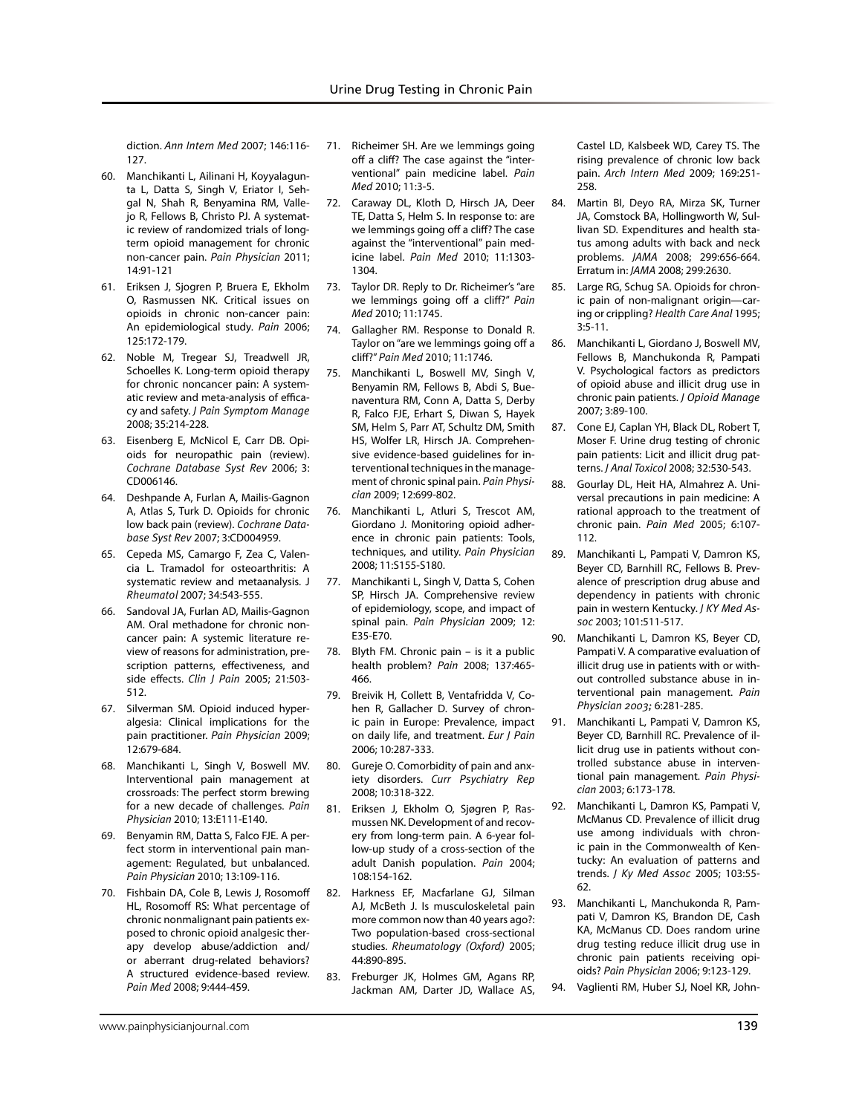diction. *Ann Intern Med* 2007; 146:116- 127.

- 60. Manchikanti L, Ailinani H, Koyyalagunta L, Datta S, Singh V, Eriator I, Sehgal N, Shah R, Benyamina RM, Vallejo R, Fellows B, Christo PJ. A systematic review of randomized trials of longterm opioid management for chronic non-cancer pain. *Pain Physician* 2011; 14:91-121
- 61. Eriksen J, Sjogren P, Bruera E, Ekholm O, Rasmussen NK. Critical issues on opioids in chronic non-cancer pain: An epidemiological study. *Pain* 2006; 125:172-179.
- 62. Noble M, Tregear SJ, Treadwell JR, Schoelles K. Long-term opioid therapy for chronic noncancer pain: A systematic review and meta-analysis of efficacy and safety. *J Pain Symptom Manage* 2008; 35:214-228.
- 63. Eisenberg E, McNicol E, Carr DB. Opioids for neuropathic pain (review). *Cochrane Database Syst Rev* 2006; 3: CD006146.
- 64. Deshpande A, Furlan A, Mailis-Gagnon A, Atlas S, Turk D. Opioids for chronic low back pain (review). *Cochrane Database Syst Rev* 2007; 3:CD004959.
- 65. Cepeda MS, Camargo F, Zea C, Valencia L. Tramadol for osteoarthritis: A systematic review and metaanalysis. J *Rheumatol* 2007; 34:543-555.
- 66. Sandoval JA, Furlan AD, Mailis-Gagnon AM. Oral methadone for chronic noncancer pain: A systemic literature review of reasons for administration, prescription patterns, effectiveness, and side effects. *Clin J Pain* 2005; 21:503- 512.
- 67. Silverman SM. Opioid induced hyperalgesia: Clinical implications for the pain practitioner. *Pain Physician* 2009; 12:679-684.
- 68. Manchikanti L, Singh V, Boswell MV. Interventional pain management at crossroads: The perfect storm brewing for a new decade of challenges. *Pain Physician* 2010; 13:E111-E140.
- 69. Benyamin RM, Datta S, Falco FJE. A perfect storm in interventional pain management: Regulated, but unbalanced. *Pain Physician* 2010; 13:109-116.
- 70. Fishbain DA, Cole B, Lewis J, Rosomoff HL, Rosomoff RS: What percentage of chronic nonmalignant pain patients exposed to chronic opioid analgesic therapy develop abuse/addiction and/ or aberrant drug-related behaviors? A structured evidence-based review. *Pain Med* 2008; 9:444-459.
- 71. Richeimer SH. Are we lemmings going off a cliff? The case against the "interventional" pain medicine label. *Pain Med* 2010; 11:3-5.
- 72. Caraway DL, Kloth D, Hirsch JA, Deer TE, Datta S, Helm S. In response to: are we lemmings going off a cliff? The case against the "interventional" pain medicine label. *Pain Med* 2010; 11:1303- 1304.
- 73. Taylor DR. Reply to Dr. Richeimer's "are we lemmings going off a cliff?" *Pain Med* 2010; 11:1745.
- 74. Gallagher RM. Response to Donald R. Taylor on "are we lemmings going off a cliff?" *Pain Med* 2010; 11:1746.
- 75. Manchikanti L, Boswell MV, Singh V, Benyamin RM, Fellows B, Abdi S, Buenaventura RM, Conn A, Datta S, Derby R, Falco FJE, Erhart S, Diwan S, Hayek SM, Helm S, Parr AT, Schultz DM, Smith HS, Wolfer LR, Hirsch JA. Comprehensive evidence-based guidelines for interventional techniques in the management of chronic spinal pain. *Pain Physician* 2009; 12:699-802.
- 76. Manchikanti L, Atluri S, Trescot AM, Giordano J. Monitoring opioid adherence in chronic pain patients: Tools, techniques, and utility. *Pain Physician*  2008; 11:S155-S180.
- 77. Manchikanti L, Singh V, Datta S, Cohen SP, Hirsch JA. Comprehensive review of epidemiology, scope, and impact of spinal pain. *Pain Physician* 2009; 12: E35-E70.
- 78. Blyth FM. Chronic pain is it a public health problem? *Pain* 2008; 137:465- 466.
- 79. Breivik H, Collett B, Ventafridda V, Cohen R, Gallacher D. Survey of chronic pain in Europe: Prevalence, impact on daily life, and treatment. *Eur J Pain* 2006; 10:287-333.
- 80. Gureje O. Comorbidity of pain and anxiety disorders. *Curr Psychiatry Rep* 2008; 10:318-322.
- 81. Eriksen J, Ekholm O, Sjøgren P, Rasmussen NK. Development of and recovery from long-term pain. A 6-year follow-up study of a cross-section of the adult Danish population. *Pain* 2004; 108:154-162.
- 82. Harkness EF, Macfarlane GJ, Silman AJ, McBeth J. Is musculoskeletal pain more common now than 40 years ago?: Two population-based cross-sectional studies. *Rheumatology (Oxford)* 2005; 44:890-895.
- 83. Freburger JK, Holmes GM, Agans RP, Jackman AM, Darter JD, Wallace AS,

Castel LD, Kalsbeek WD, Carey TS. The rising prevalence of chronic low back pain. *Arch Intern Med* 2009; 169:251- 258.

- 84. Martin BI, Deyo RA, Mirza SK, Turner JA, Comstock BA, Hollingworth W, Sullivan SD. Expenditures and health status among adults with back and neck problems. *JAMA* 2008; 299:656-664. Erratum in: *JAMA* 2008; 299:2630.
- 85. Large RG, Schug SA. Opioids for chronic pain of non-malignant origin—caring or crippling? *Health Care Anal* 1995; 3:5-11.
- 86. Manchikanti L, Giordano J, Boswell MV, Fellows B, Manchukonda R, Pampati V. Psychological factors as predictors of opioid abuse and illicit drug use in chronic pain patients. *J Opioid Manage*  2007; 3:89-100.
- 87. Cone EJ, Caplan YH, Black DL, Robert T, Moser F. Urine drug testing of chronic pain patients: Licit and illicit drug patterns. *J Anal Toxicol* 2008; 32:530-543.
- 88. Gourlay DL, Heit HA, Almahrez A. Universal precautions in pain medicine: A rational approach to the treatment of chronic pain. *Pain Med* 2005; 6:107- 112.
- 89. Manchikanti L, Pampati V, Damron KS, Beyer CD, Barnhill RC, Fellows B. Prevalence of prescription drug abuse and dependency in patients with chronic pain in western Kentucky. *J KY Med Assoc* 2003; 101:511-517.
- 90. Manchikanti L, Damron KS, Beyer CD, Pampati V. A comparative evaluation of illicit drug use in patients with or without controlled substance abuse in interventional pain management. *Pain Physician 2003;* 6:281-285.
- 91. Manchikanti L, Pampati V, Damron KS, Beyer CD, Barnhill RC. Prevalence of illicit drug use in patients without controlled substance abuse in interventional pain management. *Pain Physician* 2003; 6:173-178.
- 92. Manchikanti L, Damron KS, Pampati V, McManus CD. Prevalence of illicit drug use among individuals with chronic pain in the Commonwealth of Kentucky: An evaluation of patterns and trends. *J Ky Med Assoc* 2005; 103:55- 62.
- 93. Manchikanti L, Manchukonda R, Pampati V, Damron KS, Brandon DE, Cash KA, McManus CD. Does random urine drug testing reduce illicit drug use in chronic pain patients receiving opioids? *Pain Physician* 2006; 9:123-129.
- 94. Vaglienti RM, Huber SJ, Noel KR, John-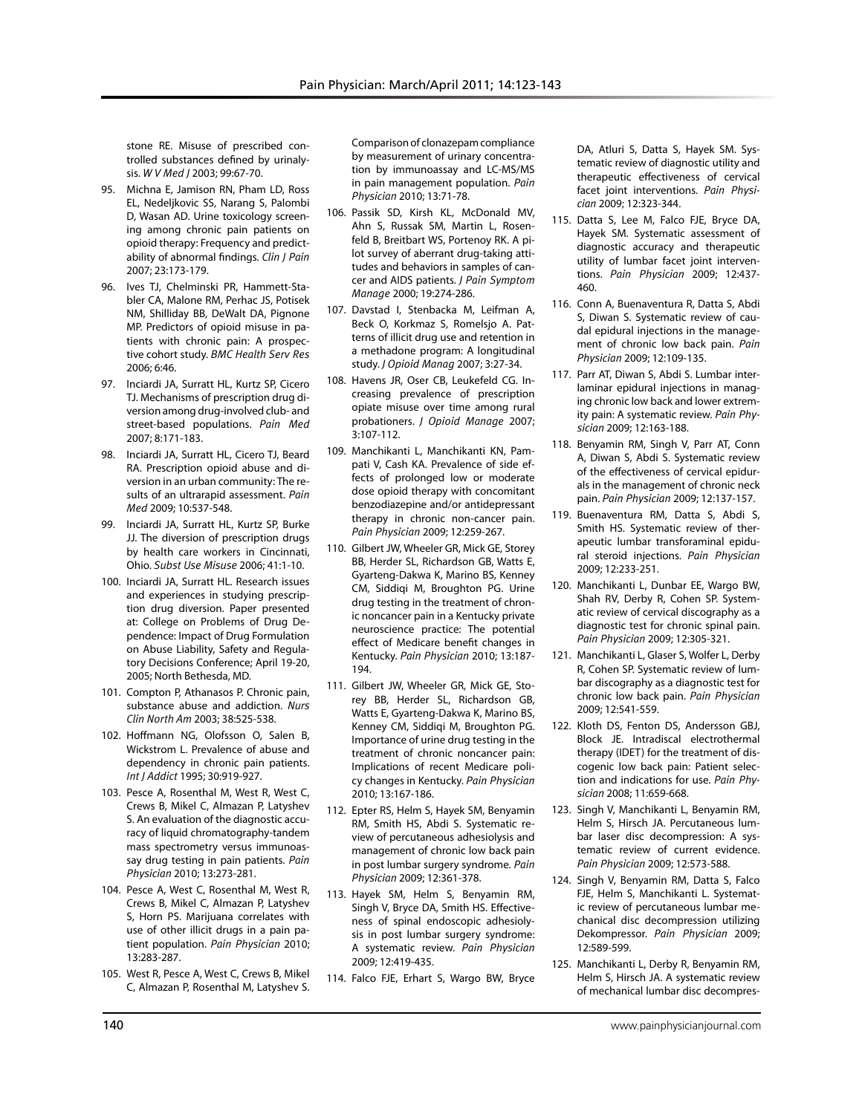stone RE. Misuse of prescribed controlled substances defined by urinalysis. *W V Med J* 2003; 99:67-70.

- 95. Michna E, Jamison RN, Pham LD, Ross EL, Nedeljkovic SS, Narang S, Palombi D, Wasan AD. Urine toxicology screening among chronic pain patients on opioid therapy: Frequency and predictability of abnormal findings. *Clin J Pain*  2007; 23:173-179.
- 96. Ives TJ, Chelminski PR, Hammett-Stabler CA, Malone RM, Perhac JS, Potisek NM, Shilliday BB, DeWalt DA, Pignone MP. Predictors of opioid misuse in patients with chronic pain: A prospective cohort study. *BMC Health Serv Res* 2006; 6:46.
- 97. Inciardi JA, Surratt HL, Kurtz SP, Cicero TJ. Mechanisms of prescription drug diversion among drug-involved club- and street-based populations. *Pain Med*  2007; 8:171-183.
- 98. Inciardi JA, Surratt HL, Cicero TJ, Beard RA. Prescription opioid abuse and diversion in an urban community: The results of an ultrarapid assessment. *Pain Med* 2009; 10:537-548.
- 99. Inciardi JA, Surratt HL, Kurtz SP, Burke JJ. The diversion of prescription drugs by health care workers in Cincinnati, Ohio. *Subst Use Misuse* 2006; 41:1-10.
- 100. Inciardi JA, Surratt HL. Research issues and experiences in studying prescription drug diversion. Paper presented at: College on Problems of Drug Dependence: Impact of Drug Formulation on Abuse Liability, Safety and Regulatory Decisions Conference; April 19-20, 2005; North Bethesda, MD.
- 101. Compton P, Athanasos P. Chronic pain, substance abuse and addiction. *Nurs Clin North Am* 2003; 38:525-538.
- 102. Hoffmann NG, Olofsson O, Salen B, Wickstrom L. Prevalence of abuse and dependency in chronic pain patients. *Int J Addict* 1995; 30:919-927.
- 103. Pesce A, Rosenthal M, West R, West C, Crews B, Mikel C, Almazan P, Latyshev S. An evaluation of the diagnostic accuracy of liquid chromatography-tandem mass spectrometry versus immunoassay drug testing in pain patients. *Pain Physician* 2010; 13:273-281.
- 104. Pesce A, West C, Rosenthal M, West R, Crews B, Mikel C, Almazan P, Latyshev S, Horn PS. Marijuana correlates with use of other illicit drugs in a pain patient population. *Pain Physician* 2010; 13:283-287.
- 105. West R, Pesce A, West C, Crews B, Mikel C, Almazan P, Rosenthal M, Latyshev S.

Comparison of clonazepam compliance by measurement of urinary concentration by immunoassay and LC-MS/MS in pain management population. *Pain Physician* 2010; 13:71-78.

- 106. Passik SD, Kirsh KL, McDonald MV, Ahn S, Russak SM, Martin L, Rosenfeld B, Breitbart WS, Portenoy RK. A pilot survey of aberrant drug-taking attitudes and behaviors in samples of cancer and AIDS patients. *J Pain Symptom Manage* 2000; 19:274-286.
- 107. Davstad I, Stenbacka M, Leifman A, Beck O, Korkmaz S, Romelsjo A. Patterns of illicit drug use and retention in a methadone program: A longitudinal study. *J Opioid Manag* 2007; 3:27-34.
- 108. Havens JR, Oser CB, Leukefeld CG. Increasing prevalence of prescription opiate misuse over time among rural probationers. *J Opioid Manage* 2007; 3:107-112.
- 109. Manchikanti L, Manchikanti KN, Pampati V, Cash KA. Prevalence of side effects of prolonged low or moderate dose opioid therapy with concomitant benzodiazepine and/or antidepressant therapy in chronic non-cancer pain. *Pain Physician* 2009; 12:259-267.
- 110. Gilbert JW, Wheeler GR, Mick GE, Storey BB, Herder SL, Richardson GB, Watts E, Gyarteng-Dakwa K, Marino BS, Kenney CM, Siddiqi M, Broughton PG. Urine drug testing in the treatment of chronic noncancer pain in a Kentucky private neuroscience practice: The potential effect of Medicare benefit changes in Kentucky. *Pain Physician* 2010; 13:187- 194.
- 111. Gilbert JW, Wheeler GR, Mick GE, Storey BB, Herder SL, Richardson GB, Watts E, Gyarteng-Dakwa K, Marino BS, Kenney CM, Siddiqi M, Broughton PG. Importance of urine drug testing in the treatment of chronic noncancer pain: Implications of recent Medicare policy changes in Kentucky. *Pain Physician* 2010; 13:167-186.
- 112. Epter RS, Helm S, Hayek SM, Benyamin RM, Smith HS, Abdi S. Systematic review of percutaneous adhesiolysis and management of chronic low back pain in post lumbar surgery syndrome. *Pain Physician* 2009; 12:361-378.
- 113. Hayek SM, Helm S, Benyamin RM, Singh V, Bryce DA, Smith HS. Effectiveness of spinal endoscopic adhesiolysis in post lumbar surgery syndrome: A systematic review. *Pain Physician*  2009; 12:419-435.
- 114. Falco FJE, Erhart S, Wargo BW, Bryce

DA, Atluri S, Datta S, Hayek SM. Systematic review of diagnostic utility and therapeutic effectiveness of cervical facet joint interventions. *Pain Physician* 2009; 12:323-344.

- 115. Datta S, Lee M, Falco FJE, Bryce DA, Hayek SM. Systematic assessment of diagnostic accuracy and therapeutic utility of lumbar facet joint interventions. *Pain Physician* 2009; 12:437- 460.
- 116. Conn A, Buenaventura R, Datta S, Abdi S, Diwan S. Systematic review of caudal epidural injections in the management of chronic low back pain. *Pain Physician* 2009; 12:109-135.
- 117. Parr AT, Diwan S, Abdi S. Lumbar interlaminar epidural injections in managing chronic low back and lower extremity pain: A systematic review. *Pain Physician* 2009; 12:163-188.
- 118. Benyamin RM, Singh V, Parr AT, Conn A, Diwan S, Abdi S. Systematic review of the effectiveness of cervical epidurals in the management of chronic neck pain. *Pain Physician* 2009; 12:137-157.
- 119. Buenaventura RM, Datta S, Abdi S, Smith HS. Systematic review of therapeutic lumbar transforaminal epidural steroid injections. *Pain Physician* 2009; 12:233-251.
- 120. Manchikanti L, Dunbar EE, Wargo BW, Shah RV, Derby R, Cohen SP. Systematic review of cervical discography as a diagnostic test for chronic spinal pain. *Pain Physician* 2009; 12:305-321.
- 121. Manchikanti L, Glaser S, Wolfer L, Derby R, Cohen SP. Systematic review of lumbar discography as a diagnostic test for chronic low back pain. *Pain Physician* 2009; 12:541-559.
- 122. Kloth DS, Fenton DS, Andersson GBJ, Block JE. Intradiscal electrothermal therapy (IDET) for the treatment of discogenic low back pain: Patient selection and indications for use. *Pain Physician* 2008; 11:659-668.
- 123. Singh V, Manchikanti L, Benyamin RM, Helm S, Hirsch JA. Percutaneous lumbar laser disc decompression: A systematic review of current evidence. *Pain Physician* 2009; 12:573-588.
- 124. Singh V, Benyamin RM, Datta S, Falco FJE, Helm S, Manchikanti L. Systematic review of percutaneous lumbar mechanical disc decompression utilizing Dekompressor. *Pain Physician* 2009; 12:589-599.
- 125. Manchikanti L, Derby R, Benyamin RM, Helm S, Hirsch JA. A systematic review of mechanical lumbar disc decompres-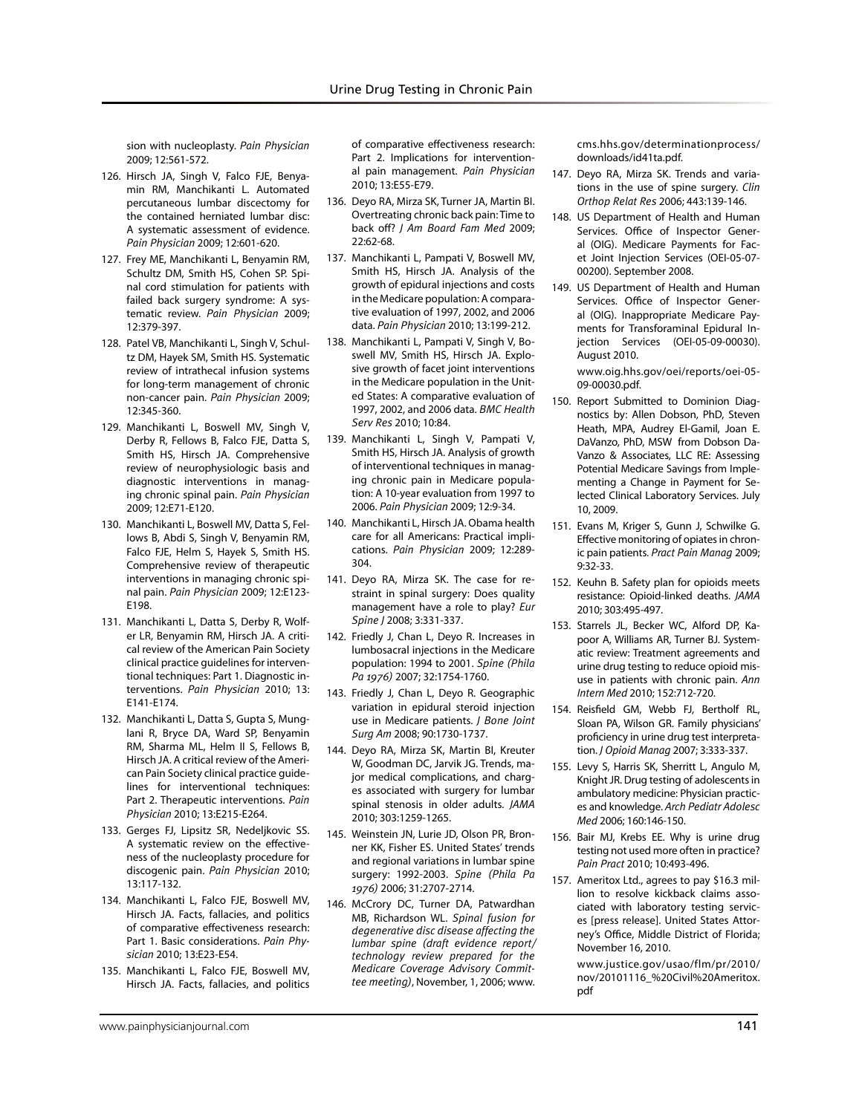sion with nucleoplasty. *Pain Physician* 2009; 12:561-572.

- 126. Hirsch JA, Singh V, Falco FJE, Benyamin RM, Manchikanti L. Automated percutaneous lumbar discectomy for the contained herniated lumbar disc: A systematic assessment of evidence. *Pain Physician* 2009; 12:601-620.
- 127. Frey ME, Manchikanti L, Benyamin RM, Schultz DM, Smith HS, Cohen SP. Spinal cord stimulation for patients with failed back surgery syndrome: A systematic review. *Pain Physician* 2009; 12:379-397.
- 128. Patel VB, Manchikanti L, Singh V, Schultz DM, Hayek SM, Smith HS. Systematic review of intrathecal infusion systems for long-term management of chronic non-cancer pain. *Pain Physician* 2009; 12:345-360.
- 129. Manchikanti L, Boswell MV, Singh V, Derby R, Fellows B, Falco FJE, Datta S, Smith HS, Hirsch JA. Comprehensive review of neurophysiologic basis and diagnostic interventions in managing chronic spinal pain. *Pain Physician* 2009; 12:E71-E120.
- 130. Manchikanti L, Boswell MV, Datta S, Fellows B, Abdi S, Singh V, Benyamin RM, Falco FJE, Helm S, Hayek S, Smith HS. Comprehensive review of therapeutic interventions in managing chronic spinal pain. *Pain Physician* 2009; 12:E123- E198.
- 131. Manchikanti L, Datta S, Derby R, Wolfer LR, Benyamin RM, Hirsch JA. A critical review of the American Pain Society clinical practice guidelines for interventional techniques: Part 1. Diagnostic interventions. *Pain Physician* 2010; 13: E141-E174.
- 132. Manchikanti L, Datta S, Gupta S, Munglani R, Bryce DA, Ward SP, Benyamin RM, Sharma ML, Helm II S, Fellows B, Hirsch JA. A critical review of the American Pain Society clinical practice guidelines for interventional techniques: Part 2. Therapeutic interventions. *Pain Physician* 2010; 13:E215-E264.
- 133. Gerges FJ, Lipsitz SR, Nedeljkovic SS. A systematic review on the effectiveness of the nucleoplasty procedure for discogenic pain. *Pain Physician* 2010; 13:117-132.
- 134. Manchikanti L, Falco FJE, Boswell MV, Hirsch JA. Facts, fallacies, and politics of comparative effectiveness research: Part 1. Basic considerations. *Pain Physician* 2010; 13:E23-E54.
- 135. Manchikanti L, Falco FJE, Boswell MV, Hirsch JA. Facts, fallacies, and politics

of comparative effectiveness research: Part 2. Implications for interventional pain management. *Pain Physician* 2010; 13:E55-E79.

- 136. Deyo RA, Mirza SK, Turner JA, Martin BI. Overtreating chronic back pain: Time to back off? *J Am Board Fam Med* 2009; 22:62-68.
- 137. Manchikanti L, Pampati V, Boswell MV, Smith HS, Hirsch JA. Analysis of the growth of epidural injections and costs in the Medicare population: A comparative evaluation of 1997, 2002, and 2006 data. *Pain Physician* 2010; 13:199-212.
- 138. Manchikanti L, Pampati V, Singh V, Boswell MV, Smith HS, Hirsch JA. Explosive growth of facet joint interventions in the Medicare population in the United States: A comparative evaluation of 1997, 2002, and 2006 data. *BMC Health Serv Res* 2010; 10:84.
- 139. Manchikanti L, Singh V, Pampati V, Smith HS, Hirsch JA. Analysis of growth of interventional techniques in managing chronic pain in Medicare population: A 10-year evaluation from 1997 to 2006. *Pain Physician* 2009; 12:9-34.
- 140. Manchikanti L, Hirsch JA. Obama health care for all Americans: Practical implications. *Pain Physician* 2009; 12:289- 304.
- 141. Deyo RA, Mirza SK. The case for restraint in spinal surgery: Does quality management have a role to play? *Eur Spine J* 2008; 3:331-337.
- 142. Friedly J, Chan L, Deyo R. Increases in lumbosacral injections in the Medicare population: 1994 to 2001. *Spine (Phila Pa 1976)* 2007; 32:1754-1760.
- 143. Friedly J, Chan L, Deyo R. Geographic variation in epidural steroid injection use in Medicare patients. *J Bone Joint Surg Am* 2008; 90:1730-1737.
- 144. Deyo RA, Mirza SK, Martin BI, Kreuter W, Goodman DC, Jarvik JG. Trends, major medical complications, and charges associated with surgery for lumbar spinal stenosis in older adults. *JAMA* 2010; 303:1259-1265.
- 145. Weinstein JN, Lurie JD, Olson PR, Bronner KK, Fisher ES. United States' trends and regional variations in lumbar spine surgery: 1992-2003. *Spine (Phila Pa 1976)* 2006; 31:2707-2714.
- 146. McCrory DC, Turner DA, Patwardhan MB, Richardson WL. *Spinal fusion for degenerative disc disease affecting the lumbar spine (draft evidence report/ technology review prepared for the Medicare Coverage Advisory Committee meeting)*, November, 1, 2006; www.

cms.hhs.gov/determinationprocess/ downloads/id41ta.pdf.

- 147. Deyo RA, Mirza SK. Trends and variations in the use of spine surgery. *Clin Orthop Relat Res* 2006; 443:139-146.
- 148. US Department of Health and Human Services. Office of Inspector General (OIG). Medicare Payments for Facet Joint Injection Services (OEI-05-07- 00200). September 2008.
- 149. US Department of Health and Human Services. Office of Inspector General (OIG). Inappropriate Medicare Payments for Transforaminal Epidural Injection Services (OEI-05-09-00030). August 2010.

www.oig.hhs.gov/oei/reports/oei-05- 09-00030.pdf.

- 150. Report Submitted to Dominion Diagnostics by: Allen Dobson, PhD, Steven Heath, MPA, Audrey El-Gamil, Joan E. DaVanzo, PhD, MSW from Dobson Da-Vanzo & Associates, LLC RE: Assessing Potential Medicare Savings from Implementing a Change in Payment for Selected Clinical Laboratory Services. July 10, 2009.
- 151. Evans M, Kriger S, Gunn J, Schwilke G. Effective monitoring of opiates in chronic pain patients. *Pract Pain Manag* 2009; 9:32-33.
- 152. Keuhn B. Safety plan for opioids meets resistance: Opioid-linked deaths. *JAMA* 2010; 303:495-497.
- 153. Starrels JL, Becker WC, Alford DP, Kapoor A, Williams AR, Turner BJ. Systematic review: Treatment agreements and urine drug testing to reduce opioid misuse in patients with chronic pain. *Ann Intern Med* 2010; 152:712-720.
- 154. Reisfield GM, Webb FJ, Bertholf RL, Sloan PA, Wilson GR. Family physicians' proficiency in urine drug test interpretation. *J Opioid Manag* 2007; 3:333-337.
- 155. Levy S, Harris SK, Sherritt L, Angulo M, Knight JR. Drug testing of adolescents in ambulatory medicine: Physician practices and knowledge. *Arch Pediatr Adolesc Med* 2006; 160:146-150.
- 156. Bair MJ, Krebs EE. Why is urine drug testing not used more often in practice? *Pain Pract* 2010; 10:493-496.
- 157. Ameritox Ltd., agrees to pay \$16.3 million to resolve kickback claims associated with laboratory testing services [press release]. United States Attorney's Office, Middle District of Florida; November 16, 2010.
	- www.justice.gov/usao/flm/pr/2010/ nov/20101116\_%20Civil%20Ameritox. pdf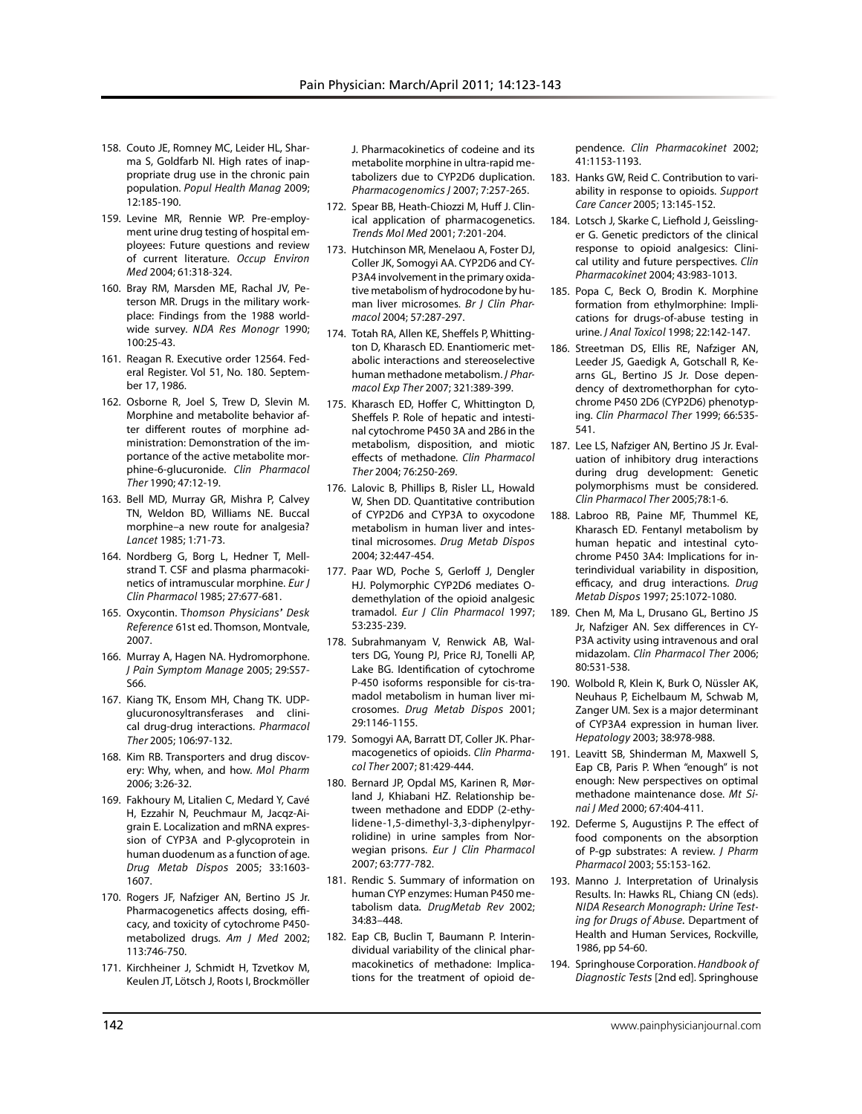- 158. Couto JE, Romney MC, Leider HL, Sharma S, Goldfarb NI. High rates of inappropriate drug use in the chronic pain population. *Popul Health Manag* 2009; 12:185-190.
- 159. Levine MR, Rennie WP. Pre-employment urine drug testing of hospital employees: Future questions and review of current literature. *Occup Environ Med* 2004; 61:318-324.
- 160. Bray RM, Marsden ME, Rachal JV, Peterson MR. Drugs in the military workplace: Findings from the 1988 worldwide survey. *NDA Res Monogr* 1990; 100:25-43.
- 161. Reagan R. Executive order 12564. Federal Register. Vol 51, No. 180. September 17, 1986.
- 162. Osborne R, Joel S, Trew D, Slevin M. Morphine and metabolite behavior after different routes of morphine administration: Demonstration of the importance of the active metabolite morphine-6-glucuronide. *Clin Pharmacol Ther* 1990; 47:12-19.
- 163. Bell MD, Murray GR, Mishra P, Calvey TN, Weldon BD, Williams NE. Buccal morphine–a new route for analgesia? *Lancet* 1985; 1:71-73.
- 164. Nordberg G, Borg L, Hedner T, Mellstrand T. CSF and plasma pharmacokinetics of intramuscular morphine. *Eur J Clin Pharmacol* 1985; 27:677-681.
- 165. Oxycontin. T*homson Physicians' Desk Reference* 61st ed. Thomson, Montvale, 2007.
- 166. Murray A, Hagen NA. Hydromorphone. *J Pain Symptom Manage* 2005; 29:S57- S66.
- 167. Kiang TK, Ensom MH, Chang TK. UDPglucuronosyltransferases and clinical drug-drug interactions. *Pharmacol Ther* 2005; 106:97-132.
- 168. Kim RB. Transporters and drug discovery: Why, when, and how. *Mol Pharm* 2006; 3:26-32.
- 169. Fakhoury M, Litalien C, Medard Y, Cavé H, Ezzahir N, Peuchmaur M, Jacqz-Aigrain E. Localization and mRNA expression of CYP3A and P-glycoprotein in human duodenum as a function of age. *Drug Metab Dispos* 2005; 33:1603- 1607.
- 170. Rogers JF, Nafziger AN, Bertino JS Jr. Pharmacogenetics affects dosing, efficacy, and toxicity of cytochrome P450 metabolized drugs. *Am J Med* 2002; 113:746-750.
- 171. Kirchheiner J, Schmidt H, Tzvetkov M, Keulen JT, Lötsch J, Roots I, Brockmöller

J. Pharmacokinetics of codeine and its metabolite morphine in ultra-rapid metabolizers due to CYP2D6 duplication. *Pharmacogenomics J* 2007; 7:257-265.

- 172. Spear BB, Heath-Chiozzi M, Huff J. Clinical application of pharmacogenetics. *Trends Mol Med* 2001; 7:201-204.
- 173. Hutchinson MR, Menelaou A, Foster DJ, Coller JK, Somogyi AA. CYP2D6 and CY-P3A4 involvement in the primary oxidative metabolism of hydrocodone by human liver microsomes. *Br J Clin Pharmacol* 2004; 57:287-297.
- 174. Totah RA, Allen KE, Sheffels P, Whittington D, Kharasch ED. Enantiomeric metabolic interactions and stereoselective human methadone metabolism. *J Pharmacol Exp Ther* 2007; 321:389-399.
- 175. Kharasch ED, Hoffer C, Whittington D, Sheffels P. Role of hepatic and intestinal cytochrome P450 3A and 2B6 in the metabolism, disposition, and miotic effects of methadone. *Clin Pharmacol Ther* 2004; 76:250-269.
- 176. Lalovic B, Phillips B, Risler LL, Howald W, Shen DD. Quantitative contribution of CYP2D6 and CYP3A to oxycodone metabolism in human liver and intestinal microsomes. *Drug Metab Dispos* 2004; 32:447-454.
- 177. Paar WD, Poche S, Gerloff J, Dengler HJ. Polymorphic CYP2D6 mediates Odemethylation of the opioid analgesic tramadol. *Eur J Clin Pharmacol* 1997; 53:235-239.
- 178. Subrahmanyam V, Renwick AB, Walters DG, Young PJ, Price RJ, Tonelli AP, Lake BG. Identification of cytochrome P-450 isoforms responsible for cis-tramadol metabolism in human liver microsomes. *Drug Metab Dispos* 2001; 29:1146-1155.
- 179. Somogyi AA, Barratt DT, Coller JK. Pharmacogenetics of opioids. *Clin Pharmacol Ther* 2007; 81:429-444.
- 180. Bernard JP, Opdal MS, Karinen R, Mørland J, Khiabani HZ. Relationship between methadone and EDDP (2-ethylidene-1,5-dimethyl-3,3-diphenylpyrrolidine) in urine samples from Norwegian prisons. *Eur J Clin Pharmacol* 2007; 63:777-782.
- 181. Rendic S. Summary of information on human CYP enzymes: Human P450 metabolism data*. DrugMetab Rev* 2002; 34:83–448.
- 182. Eap CB, Buclin T, Baumann P. Interindividual variability of the clinical pharmacokinetics of methadone: Implications for the treatment of opioid de-

pendence. *Clin Pharmacokinet* 2002; 41:1153-1193.

- 183. Hanks GW, Reid C. Contribution to variability in response to opioids. *Support Care Cancer* 2005; 13:145-152.
- 184. Lotsch J, Skarke C, Liefhold J, Geisslinger G. Genetic predictors of the clinical response to opioid analgesics: Clinical utility and future perspectives. *Clin Pharmacokinet* 2004; 43:983-1013.
- 185. Popa C, Beck O, Brodin K. Morphine formation from ethylmorphine: Implications for drugs-of-abuse testing in urine. *J Anal Toxicol* 1998; 22:142-147.
- 186. Streetman DS, Ellis RE, Nafziger AN, Leeder JS, Gaedigk A, Gotschall R, Kearns GL, Bertino JS Jr. Dose dependency of dextromethorphan for cytochrome P450 2D6 (CYP2D6) phenotyping. *Clin Pharmacol Ther* 1999; 66:535- 541.
- 187. Lee LS, Nafziger AN, Bertino JS Jr. Evaluation of inhibitory drug interactions during drug development: Genetic polymorphisms must be considered. *Clin Pharmacol Ther* 2005;78:1-6.
- 188. Labroo RB, Paine MF, Thummel KE, Kharasch ED. Fentanyl metabolism by human hepatic and intestinal cytochrome P450 3A4: Implications for interindividual variability in disposition, efficacy, and drug interactions. *Drug Metab Dispos* 1997; 25:1072-1080.
- 189. Chen M, Ma L, Drusano GL, Bertino JS Jr, Nafziger AN. Sex differences in CY-P3A activity using intravenous and oral midazolam. *Clin Pharmacol Ther* 2006; 80:531-538.
- 190. Wolbold R, Klein K, Burk O, Nüssler AK, Neuhaus P, Eichelbaum M, Schwab M, Zanger UM. Sex is a major determinant of CYP3A4 expression in human liver. *Hepatology* 2003; 38:978-988.
- 191. Leavitt SB, Shinderman M, Maxwell S, Eap CB, Paris P. When "enough" is not enough: New perspectives on optimal methadone maintenance dose. *Mt Sinai J Med* 2000; 67:404-411.
- 192. Deferme S, Augustijns P. The effect of food components on the absorption of P-gp substrates: A review. *J Pharm Pharmacol* 2003; 55:153-162.
- 193. Manno J. Interpretation of Urinalysis Results. In: Hawks RL, Chiang CN (eds). *NIDA Research Monograph: Urine Testing for Drugs of Abuse.* Department of Health and Human Services, Rockville, 1986, pp 54-60.
- 194. Springhouse Corporation. *Handbook of Diagnostic Tests* [2nd ed]. Springhouse